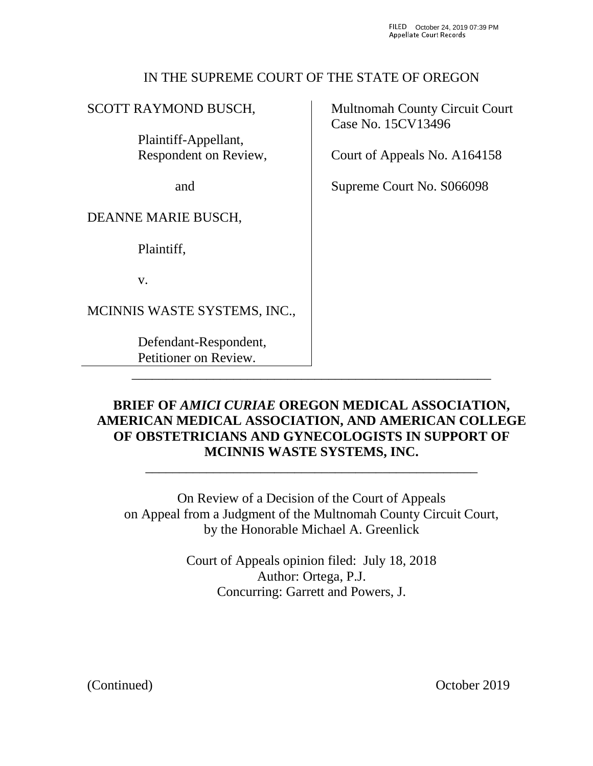## IN THE SUPREME COURT OF THE STATE OF OREGON

# SCOTT RAYMOND BUSCH,

 Plaintiff-Appellant, Respondent on Review,

and

## DEANNE MARIE BUSCH,

Plaintiff,

v.

MCINNIS WASTE SYSTEMS, INC.,

 Defendant-Respondent, Petitioner on Review.

Multnomah County Circuit Court Case No. 15CV13496

Court of Appeals No. A164158

Supreme Court No. S066098

## **BRIEF OF** *AMICI CURIAE* **OREGON MEDICAL ASSOCIATION, AMERICAN MEDICAL ASSOCIATION, AND AMERICAN COLLEGE OF OBSTETRICIANS AND GYNECOLOGISTS IN SUPPORT OF MCINNIS WASTE SYSTEMS, INC.** \_\_\_\_\_\_\_\_\_\_\_\_\_\_\_\_\_\_\_\_\_\_\_\_\_\_\_\_\_\_\_\_\_\_\_\_\_\_\_\_\_\_\_\_\_\_\_\_\_

\_\_\_\_\_\_\_\_\_\_\_\_\_\_\_\_\_\_\_\_\_\_\_\_\_\_\_\_\_\_\_\_\_\_\_\_\_\_\_\_\_\_\_\_\_\_\_\_\_\_\_\_\_

On Review of a Decision of the Court of Appeals on Appeal from a Judgment of the Multnomah County Circuit Court, by the Honorable Michael A. Greenlick

> Court of Appeals opinion filed: July 18, 2018 Author: Ortega, P.J. Concurring: Garrett and Powers, J.

(Continued) October 2019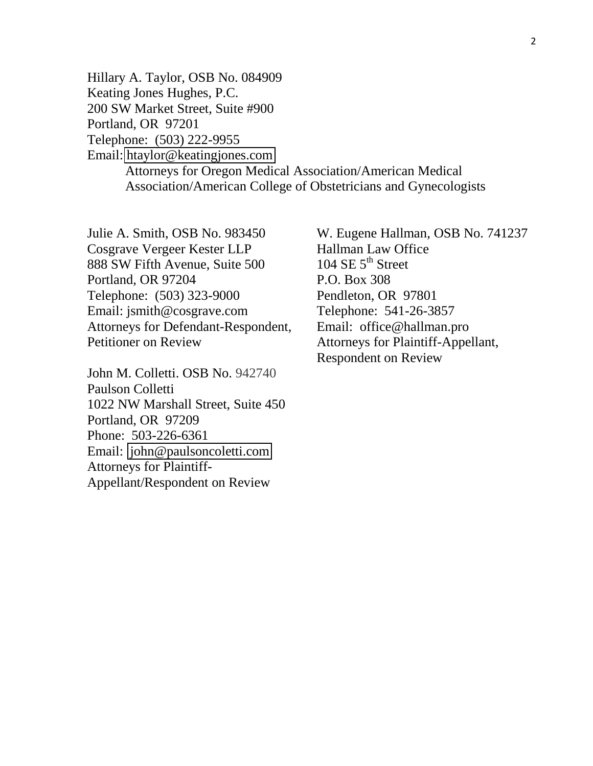Hillary A. Taylor, OSB No. 084909 Keating Jones Hughes, P.C. 200 SW Market Street, Suite #900 Portland, OR 97201 Telephone: (503) 222-9955 Email: [htaylor@keatingjones.com](mailto:htaylor@keatingjones.com) Attorneys for Oregon Medical Association/American Medical Association/American College of Obstetricians and Gynecologists

Julie A. Smith, OSB No. 983450 Cosgrave Vergeer Kester LLP 888 SW Fifth Avenue, Suite 500 Portland, OR 97204 Telephone: (503) 323-9000 Email: jsmith@cosgrave.com Attorneys for Defendant-Respondent, Petitioner on Review

John M. Colletti. OSB No. 942740 Paulson Colletti 1022 NW Marshall Street, Suite 450 Portland, OR 97209 Phone: 503-226-6361 Email: [john@paulsoncoletti.com](mailto:john@paulsoncoletti.com) Attorneys for Plaintiff-Appellant/Respondent on Review

W. Eugene Hallman, OSB No. 741237 Hallman Law Office 104 SE  $5<sup>th</sup>$  Street P.O. Box 308 Pendleton, OR 97801 Telephone: 541-26-3857 Email: office@hallman.pro Attorneys for Plaintiff-Appellant, Respondent on Review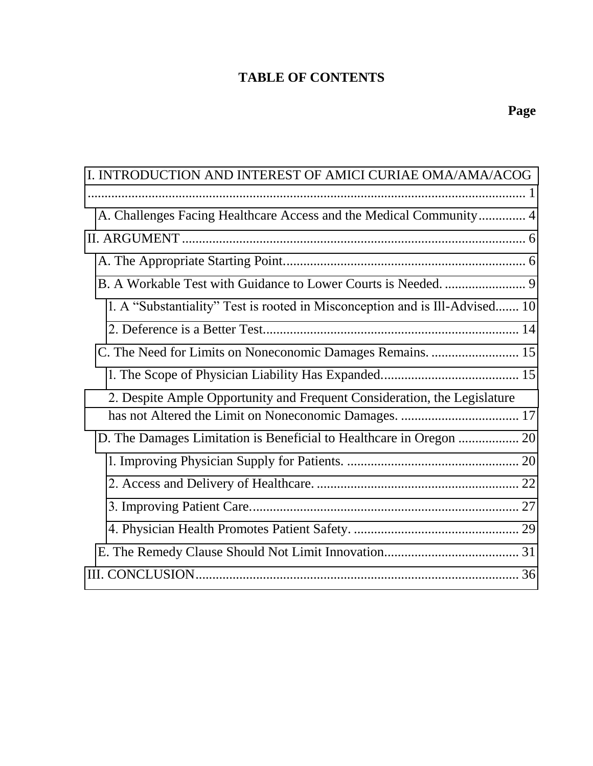# **TABLE OF CONTENTS**

| I. INTRODUCTION AND INTEREST OF AMICI CURIAE OMA/AMA/ACOG                   |  |
|-----------------------------------------------------------------------------|--|
| A. Challenges Facing Healthcare Access and the Medical Community 4          |  |
|                                                                             |  |
|                                                                             |  |
|                                                                             |  |
| 1. A "Substantiality" Test is rooted in Misconception and is Ill-Advised 10 |  |
|                                                                             |  |
| C. The Need for Limits on Noneconomic Damages Remains.  15                  |  |
|                                                                             |  |
| 2. Despite Ample Opportunity and Frequent Consideration, the Legislature    |  |
|                                                                             |  |
|                                                                             |  |
|                                                                             |  |
|                                                                             |  |
|                                                                             |  |
|                                                                             |  |
|                                                                             |  |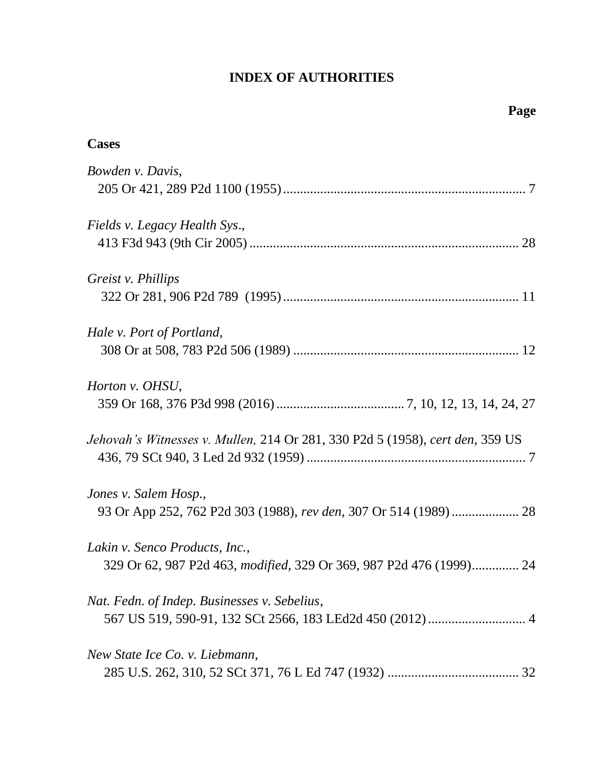# **INDEX OF AUTHORITIES**

| <b>Cases</b>                                                                                          |
|-------------------------------------------------------------------------------------------------------|
| Bowden v. Davis,                                                                                      |
| Fields v. Legacy Health Sys.,                                                                         |
| Greist v. Phillips                                                                                    |
| Hale v. Port of Portland,                                                                             |
| Horton v. OHSU,                                                                                       |
| Jehovah's Witnesses v. Mullen, 214 Or 281, 330 P2d 5 (1958), cert den, 359 US                         |
| Jones v. Salem Hosp.,<br>93 Or App 252, 762 P2d 303 (1988), rev den, 307 Or 514 (1989)  28            |
| Lakin v. Senco Products, Inc.,<br>329 Or 62, 987 P2d 463, modified, 329 Or 369, 987 P2d 476 (1999) 24 |
| Nat. Fedn. of Indep. Businesses v. Sebelius,                                                          |
| New State Ice Co. v. Liebmann,                                                                        |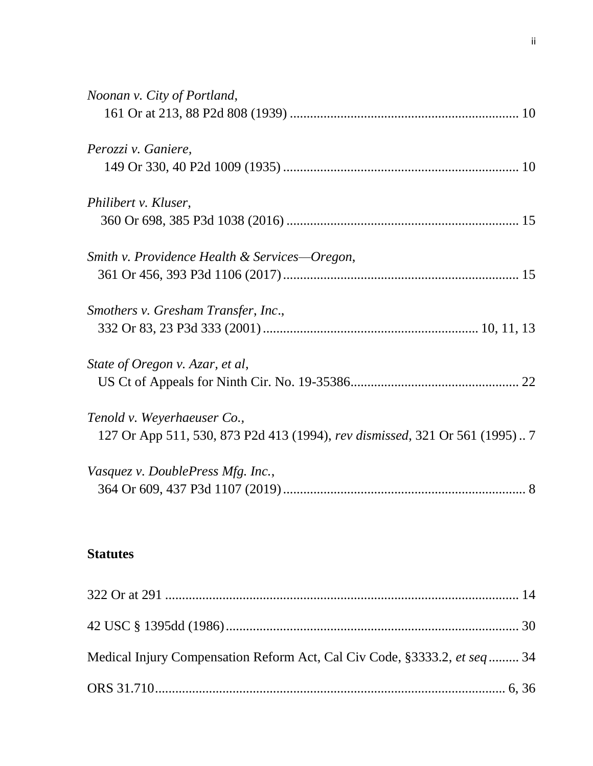| Noonan v. City of Portland,                                                |
|----------------------------------------------------------------------------|
|                                                                            |
| Perozzi v. Ganiere,                                                        |
|                                                                            |
| Philibert v. Kluser,                                                       |
|                                                                            |
| Smith v. Providence Health & Services—Oregon,                              |
|                                                                            |
| Smothers v. Gresham Transfer, Inc.,                                        |
|                                                                            |
| State of Oregon v. Azar, et al,                                            |
|                                                                            |
| Tenold v. Weyerhaeuser Co.,                                                |
| 127 Or App 511, 530, 873 P2d 413 (1994), rev dismissed, 321 Or 561 (1995)7 |
| Vasquez v. DoublePress Mfg. Inc.,                                          |
|                                                                            |
|                                                                            |

# **Statutes**

| Medical Injury Compensation Reform Act, Cal Civ Code, §3333.2, et seq  34 |  |
|---------------------------------------------------------------------------|--|
|                                                                           |  |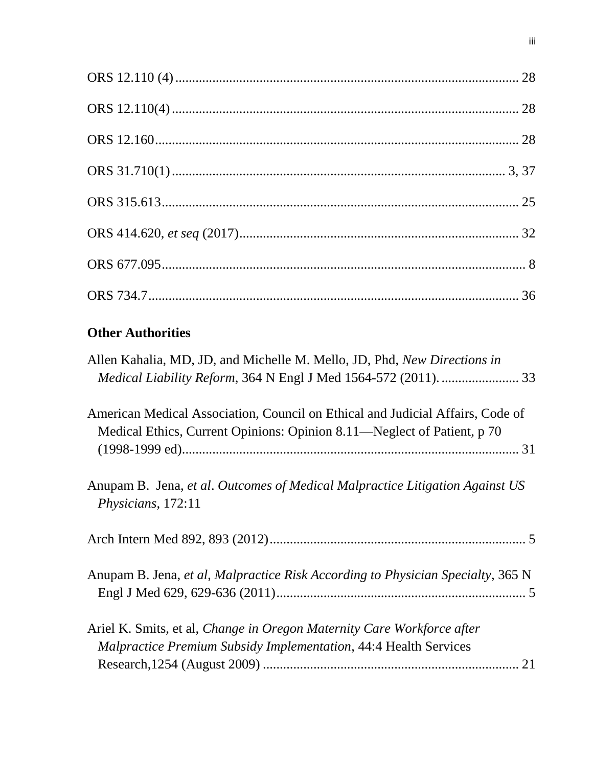# **Other Authorities**

| Allen Kahalia, MD, JD, and Michelle M. Mello, JD, Phd, New Directions in                                                                                  |
|-----------------------------------------------------------------------------------------------------------------------------------------------------------|
| American Medical Association, Council on Ethical and Judicial Affairs, Code of<br>Medical Ethics, Current Opinions: Opinion 8.11—Neglect of Patient, p 70 |
| Anupam B. Jena, et al. Outcomes of Medical Malpractice Litigation Against US<br>Physicians, 172:11                                                        |
|                                                                                                                                                           |
| Anupam B. Jena, et al, Malpractice Risk According to Physician Specialty, 365 N                                                                           |
| Ariel K. Smits, et al, <i>Change in Oregon Maternity Care Workforce after</i><br><b>Malpractice Premium Subsidy Implementation, 44:4 Health Services</b>  |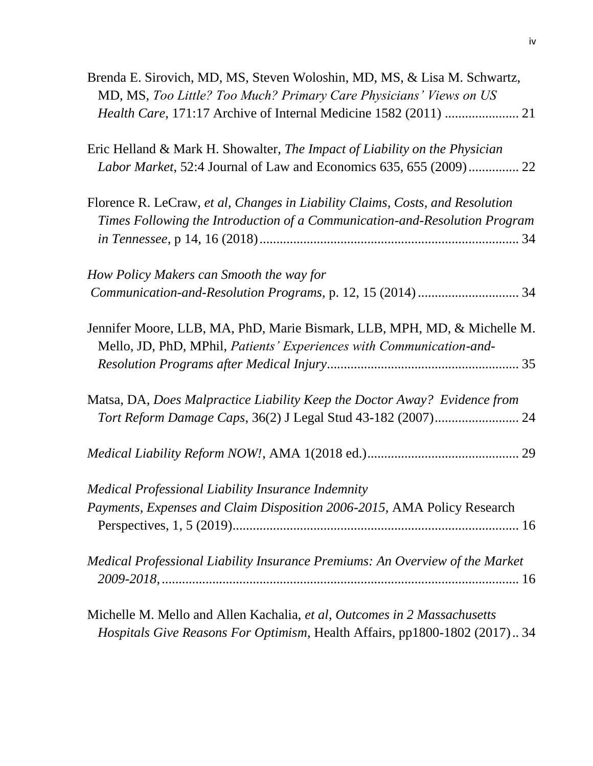| Brenda E. Sirovich, MD, MS, Steven Woloshin, MD, MS, & Lisa M. Schwartz,<br>MD, MS, Too Little? Too Much? Primary Care Physicians' Views on US              |
|-------------------------------------------------------------------------------------------------------------------------------------------------------------|
| Eric Helland & Mark H. Showalter, The Impact of Liability on the Physician                                                                                  |
| Florence R. LeCraw, et al, Changes in Liability Claims, Costs, and Resolution<br>Times Following the Introduction of a Communication-and-Resolution Program |
| How Policy Makers can Smooth the way for                                                                                                                    |
| Jennifer Moore, LLB, MA, PhD, Marie Bismark, LLB, MPH, MD, & Michelle M.<br>Mello, JD, PhD, MPhil, Patients' Experiences with Communication-and-            |
| Matsa, DA, Does Malpractice Liability Keep the Doctor Away? Evidence from                                                                                   |
|                                                                                                                                                             |
| Medical Professional Liability Insurance Indemnity<br>Payments, Expenses and Claim Disposition 2006-2015, AMA Policy Research                               |
| Medical Professional Liability Insurance Premiums: An Overview of the Market                                                                                |
| Michelle M. Mello and Allen Kachalia, et al, Outcomes in 2 Massachusetts<br>Hospitals Give Reasons For Optimism, Health Affairs, pp1800-1802 (2017) 34      |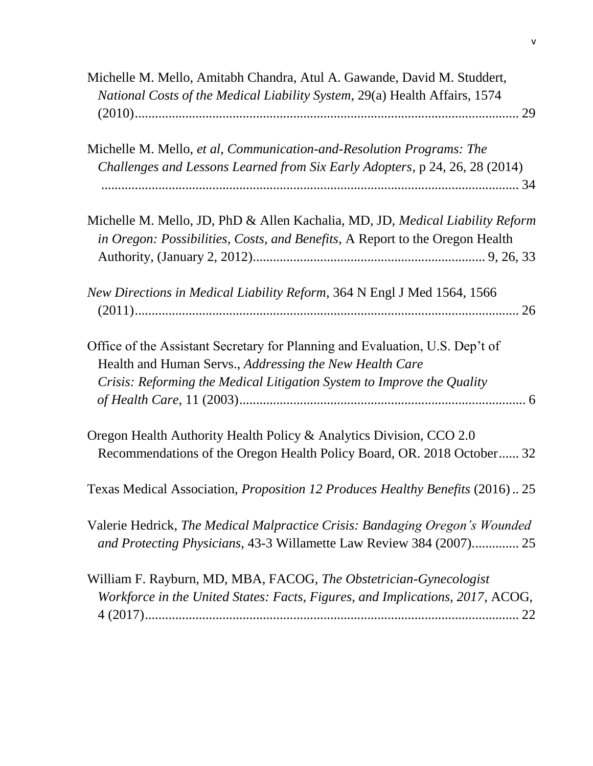| Michelle M. Mello, Amitabh Chandra, Atul A. Gawande, David M. Studdert,<br>National Costs of the Medical Liability System, 29(a) Health Affairs, 1574                                                             |
|-------------------------------------------------------------------------------------------------------------------------------------------------------------------------------------------------------------------|
|                                                                                                                                                                                                                   |
| Michelle M. Mello, et al, Communication-and-Resolution Programs: The<br>Challenges and Lessons Learned from Six Early Adopters, p 24, 26, 28 (2014)                                                               |
| Michelle M. Mello, JD, PhD & Allen Kachalia, MD, JD, Medical Liability Reform<br>in Oregon: Possibilities, Costs, and Benefits, A Report to the Oregon Health                                                     |
| New Directions in Medical Liability Reform, 364 N Engl J Med 1564, 1566                                                                                                                                           |
| Office of the Assistant Secretary for Planning and Evaluation, U.S. Dep't of<br>Health and Human Servs., Addressing the New Health Care<br>Crisis: Reforming the Medical Litigation System to Improve the Quality |
| Oregon Health Authority Health Policy & Analytics Division, CCO 2.0<br>Recommendations of the Oregon Health Policy Board, OR. 2018 October 32                                                                     |
| Texas Medical Association, <i>Proposition 12 Produces Healthy Benefits</i> (2016)25                                                                                                                               |
| Valerie Hedrick, The Medical Malpractice Crisis: Bandaging Oregon's Wounded<br>and Protecting Physicians, 43-3 Willamette Law Review 384 (2007) 25                                                                |
| William F. Rayburn, MD, MBA, FACOG, The Obstetrician-Gynecologist<br>Workforce in the United States: Facts, Figures, and Implications, 2017, ACOG,                                                                |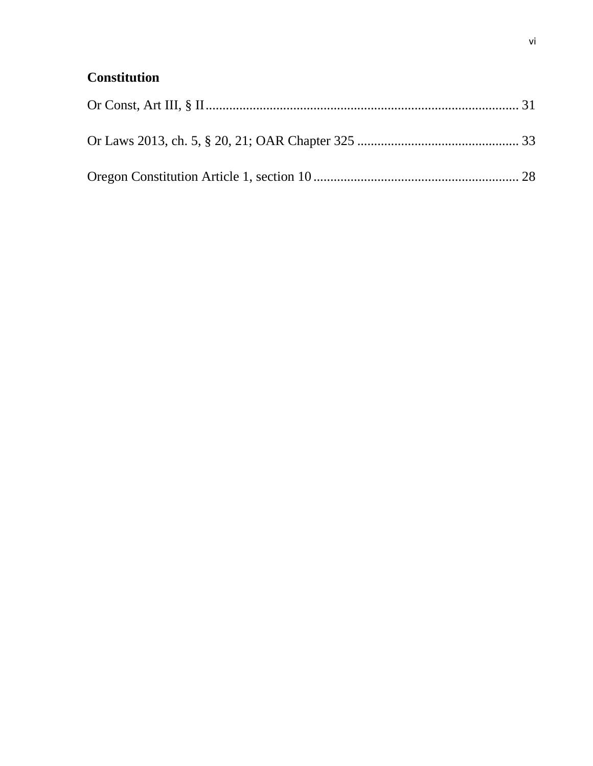# **Constitution**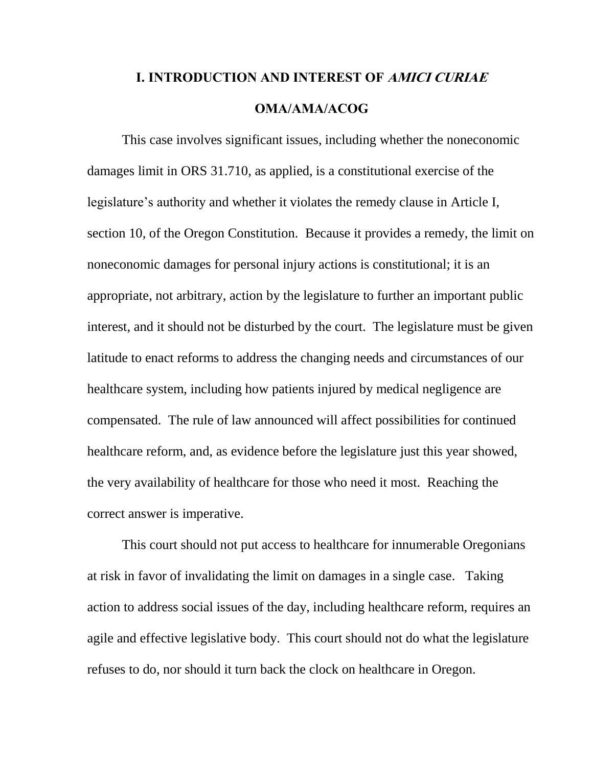# <span id="page-9-0"></span>**I. INTRODUCTION AND INTEREST OF AMICI CURIAE OMA/AMA/ACOG**

This case involves significant issues, including whether the noneconomic damages limit in ORS 31.710, as applied, is a constitutional exercise of the legislature's authority and whether it violates the remedy clause in Article I, section 10, of the Oregon Constitution. Because it provides a remedy, the limit on noneconomic damages for personal injury actions is constitutional; it is an appropriate, not arbitrary, action by the legislature to further an important public interest, and it should not be disturbed by the court. The legislature must be given latitude to enact reforms to address the changing needs and circumstances of our healthcare system, including how patients injured by medical negligence are compensated. The rule of law announced will affect possibilities for continued healthcare reform, and, as evidence before the legislature just this year showed, the very availability of healthcare for those who need it most. Reaching the correct answer is imperative.

This court should not put access to healthcare for innumerable Oregonians at risk in favor of invalidating the limit on damages in a single case. Taking action to address social issues of the day, including healthcare reform, requires an agile and effective legislative body. This court should not do what the legislature refuses to do, nor should it turn back the clock on healthcare in Oregon.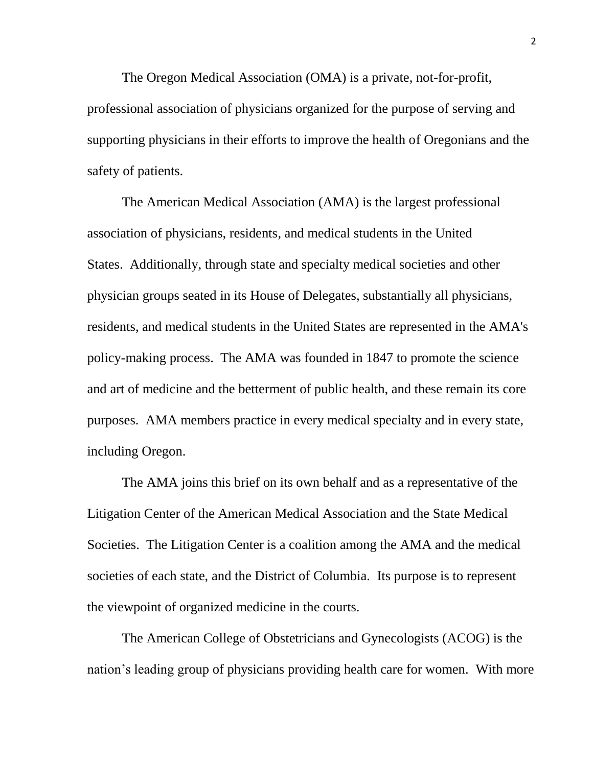The Oregon Medical Association (OMA) is a private, not-for-profit, professional association of physicians organized for the purpose of serving and supporting physicians in their efforts to improve the health of Oregonians and the safety of patients.

The American Medical Association (AMA) is the largest professional association of physicians, residents, and medical students in the United States. Additionally, through state and specialty medical societies and other physician groups seated in its House of Delegates, substantially all physicians, residents, and medical students in the United States are represented in the AMA's policy-making process. The AMA was founded in 1847 to promote the science and art of medicine and the betterment of public health, and these remain its core purposes. AMA members practice in every medical specialty and in every state, including Oregon.

The AMA joins this brief on its own behalf and as a representative of the Litigation Center of the American Medical Association and the State Medical Societies. The Litigation Center is a coalition among the AMA and the medical societies of each state, and the District of Columbia. Its purpose is to represent the viewpoint of organized medicine in the courts.

The American College of Obstetricians and Gynecologists (ACOG) is the nation's leading group of physicians providing health care for women. With more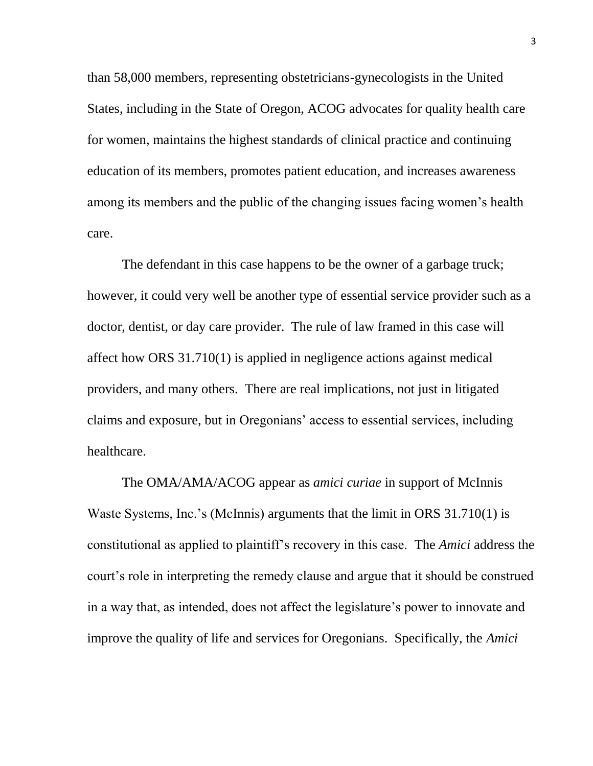than 58,000 members, representing obstetricians-gynecologists in the United States, including in the State of Oregon, ACOG advocates for quality health care for women, maintains the highest standards of clinical practice and continuing education of its members, promotes patient education, and increases awareness among its members and the public of the changing issues facing women's health care.

The defendant in this case happens to be the owner of a garbage truck; however, it could very well be another type of essential service provider such as a doctor, dentist, or day care provider. The rule of law framed in this case will affect how ORS 31.710(1) is applied in negligence actions against medical providers, and many others. There are real implications, not just in litigated claims and exposure, but in Oregonians' access to essential services, including healthcare.

The OMA/AMA/ACOG appear as *amici curiae* in support of McInnis Waste Systems, Inc.'s (McInnis) arguments that the limit in ORS 31.710(1) is constitutional as applied to plaintiff's recovery in this case. The *Amici* address the court's role in interpreting the remedy clause and argue that it should be construed in a way that, as intended, does not affect the legislature's power to innovate and improve the quality of life and services for Oregonians. Specifically, the *Amici*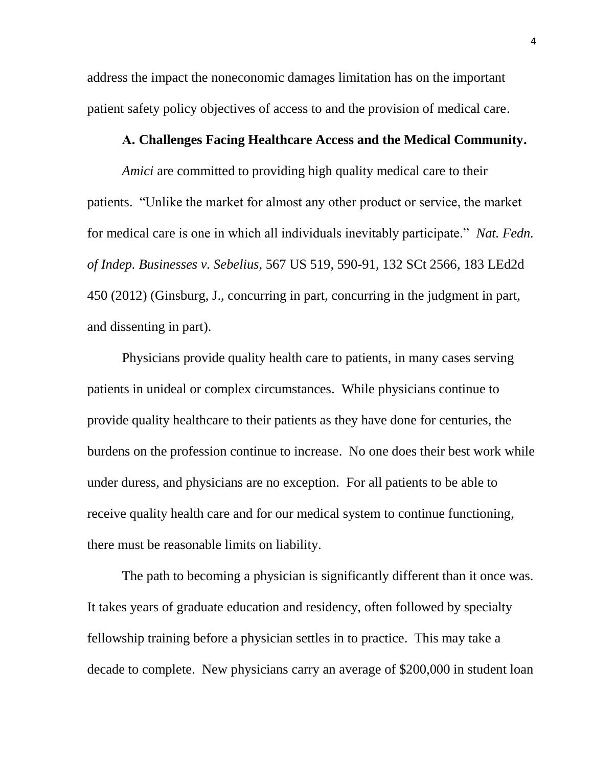address the impact the noneconomic damages limitation has on the important patient safety policy objectives of access to and the provision of medical care.

#### **A. Challenges Facing Healthcare Access and the Medical Community.**

<span id="page-12-0"></span>*Amici* are committed to providing high quality medical care to their patients. "Unlike the market for almost any other product or service, the market for medical care is one in which all individuals inevitably participate." *Nat. Fedn. of Indep. Businesses v. Sebelius*, 567 US 519, 590-91, 132 SCt 2566, 183 LEd2d 450 (2012) (Ginsburg, J., concurring in part, concurring in the judgment in part, and dissenting in part).

Physicians provide quality health care to patients, in many cases serving patients in unideal or complex circumstances. While physicians continue to provide quality healthcare to their patients as they have done for centuries, the burdens on the profession continue to increase. No one does their best work while under duress, and physicians are no exception. For all patients to be able to receive quality health care and for our medical system to continue functioning, there must be reasonable limits on liability.

The path to becoming a physician is significantly different than it once was. It takes years of graduate education and residency, often followed by specialty fellowship training before a physician settles in to practice. This may take a decade to complete. New physicians carry an average of \$200,000 in student loan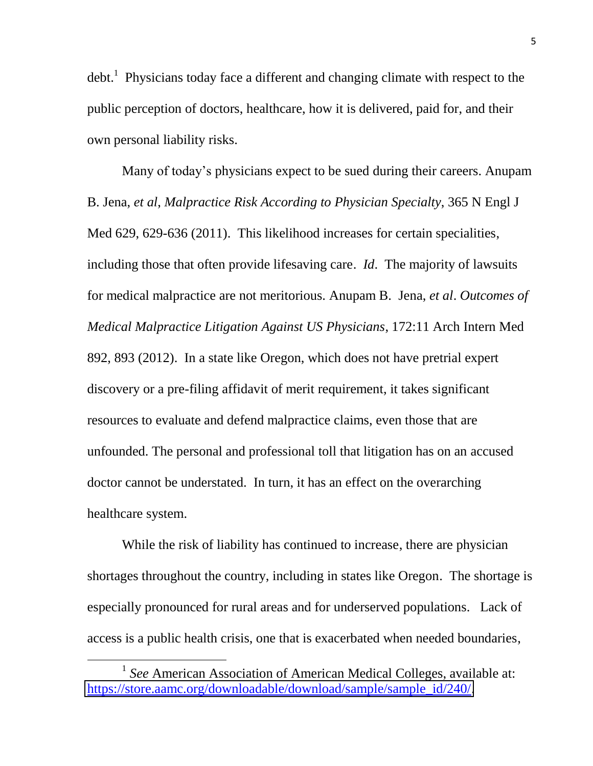debt.<sup>1</sup> Physicians today face a different and changing climate with respect to the public perception of doctors, healthcare, how it is delivered, paid for, and their own personal liability risks.

Many of today's physicians expect to be sued during their careers. Anupam B. Jena, *et al*, *Malpractice Risk According to Physician Specialty*, 365 N Engl J Med 629, 629-636 (2011). This likelihood increases for certain specialities, including those that often provide lifesaving care. *Id*. The majority of lawsuits for medical malpractice are not meritorious. Anupam B. Jena, *et al*. *Outcomes of Medical Malpractice Litigation Against US Physicians*, 172:11 Arch Intern Med 892, 893 (2012). In a state like Oregon, which does not have pretrial expert discovery or a pre-filing affidavit of merit requirement, it takes significant resources to evaluate and defend malpractice claims, even those that are unfounded. The personal and professional toll that litigation has on an accused doctor cannot be understated. In turn, it has an effect on the overarching healthcare system.

While the risk of liability has continued to increase, there are physician shortages throughout the country, including in states like Oregon. The shortage is especially pronounced for rural areas and for underserved populations. Lack of access is a public health crisis, one that is exacerbated when needed boundaries,

<sup>&</sup>lt;sup>1</sup> See American Association of American Medical Colleges, available at: [https://store.aamc.org/downloadable/download/sample/sample\\_id/240/.](https://store.aamc.org/downloadable/download/sample/sample_id/240/)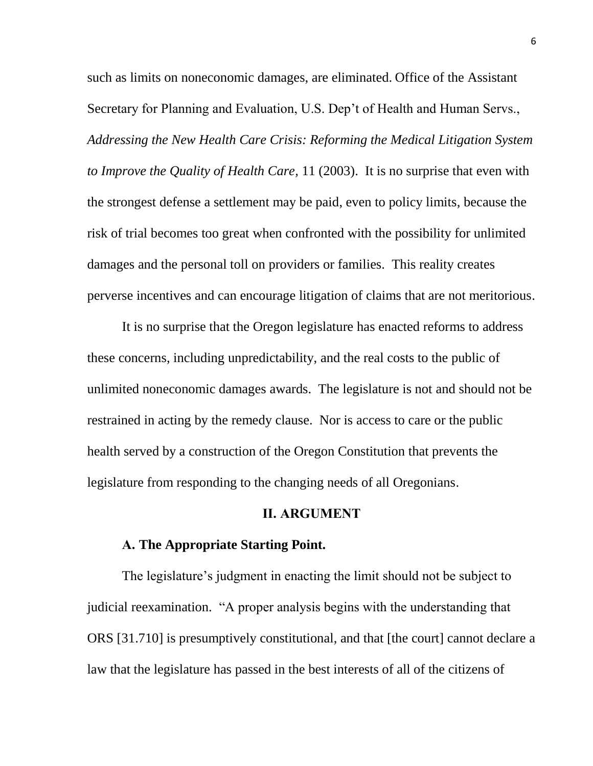such as limits on noneconomic damages, are eliminated. Office of the Assistant Secretary for Planning and Evaluation, U.S. Dep't of Health and Human Servs., *Addressing the New Health Care Crisis: Reforming the Medical Litigation System to Improve the Quality of Health Care,* 11 (2003). It is no surprise that even with the strongest defense a settlement may be paid, even to policy limits, because the risk of trial becomes too great when confronted with the possibility for unlimited damages and the personal toll on providers or families. This reality creates perverse incentives and can encourage litigation of claims that are not meritorious.

It is no surprise that the Oregon legislature has enacted reforms to address these concerns, including unpredictability, and the real costs to the public of unlimited noneconomic damages awards. The legislature is not and should not be restrained in acting by the remedy clause. Nor is access to care or the public health served by a construction of the Oregon Constitution that prevents the legislature from responding to the changing needs of all Oregonians.

#### **II. ARGUMENT**

#### <span id="page-14-0"></span>**A. The Appropriate Starting Point.**

<span id="page-14-1"></span>The legislature's judgment in enacting the limit should not be subject to judicial reexamination. "A proper analysis begins with the understanding that ORS [31.710] is presumptively constitutional, and that [the court] cannot declare a law that the legislature has passed in the best interests of all of the citizens of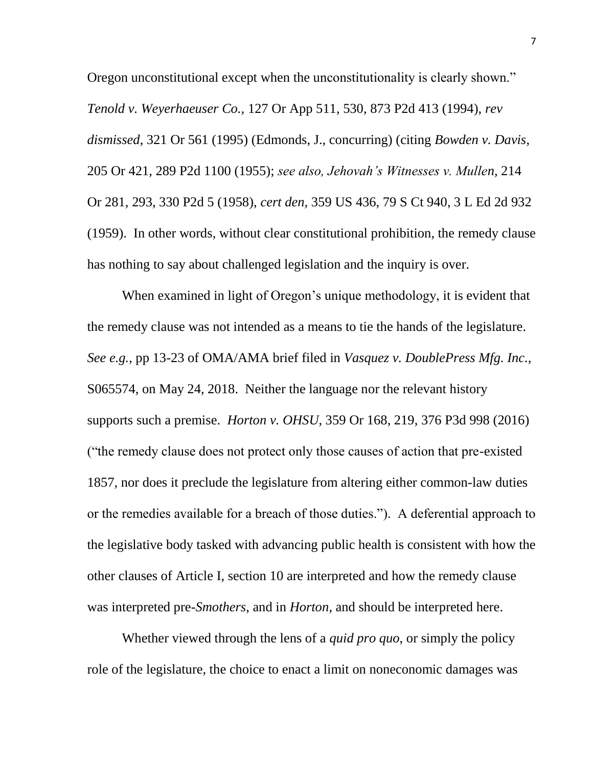Oregon unconstitutional except when the unconstitutionality is clearly shown." *Tenold v. Weyerhaeuser Co.,* 127 Or App 511, 530, 873 P2d 413 (1994), *rev dismissed*, 321 Or 561 (1995) (Edmonds, J., concurring) (citing *Bowden v. Davis*, 205 Or 421, 289 P2d 1100 (1955); *see also, Jehovah's Witnesses v. Mullen,* 214 Or 281, 293, 330 P2d 5 (1958), *cert den,* 359 US 436, 79 S Ct 940, 3 L Ed 2d 932 (1959). In other words, without clear constitutional prohibition, the remedy clause has nothing to say about challenged legislation and the inquiry is over.

When examined in light of Oregon's unique methodology, it is evident that the remedy clause was not intended as a means to tie the hands of the legislature. *See e.g.*, pp 13-23 of OMA/AMA brief filed in *Vasquez v. DoublePress Mfg. Inc.,* S065574, on May 24, 2018. Neither the language nor the relevant history supports such a premise. *Horton v. OHSU*, 359 Or 168, 219, 376 P3d 998 (2016) ("the remedy clause does not protect only those causes of action that pre-existed 1857, nor does it preclude the legislature from altering either common-law duties or the remedies available for a breach of those duties."). A deferential approach to the legislative body tasked with advancing public health is consistent with how the other clauses of Article I, section 10 are interpreted and how the remedy clause was interpreted pre-*Smothers*, and in *Horton*, and should be interpreted here.

Whether viewed through the lens of a *quid pro quo*, or simply the policy role of the legislature, the choice to enact a limit on noneconomic damages was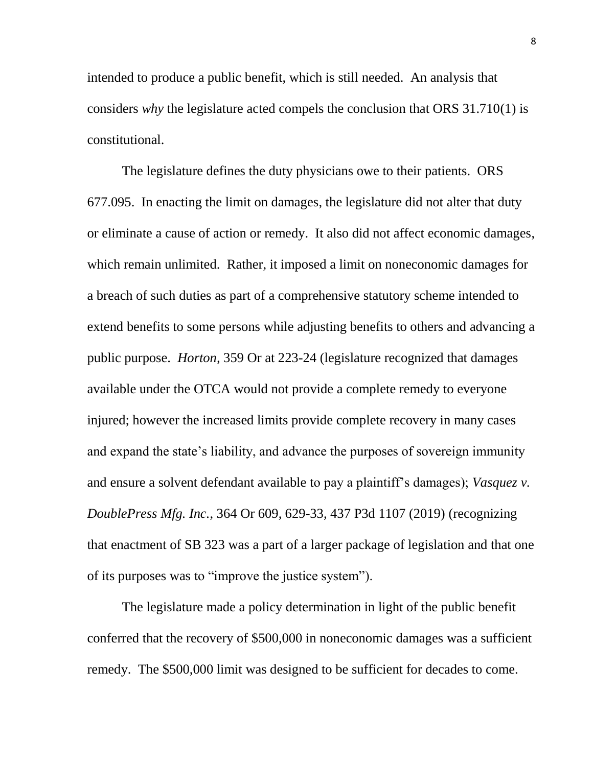intended to produce a public benefit, which is still needed. An analysis that considers *why* the legislature acted compels the conclusion that ORS 31.710(1) is constitutional.

The legislature defines the duty physicians owe to their patients. ORS 677.095. In enacting the limit on damages, the legislature did not alter that duty or eliminate a cause of action or remedy. It also did not affect economic damages, which remain unlimited. Rather, it imposed a limit on noneconomic damages for a breach of such duties as part of a comprehensive statutory scheme intended to extend benefits to some persons while adjusting benefits to others and advancing a public purpose. *Horton,* 359 Or at 223-24 (legislature recognized that damages available under the OTCA would not provide a complete remedy to everyone injured; however the increased limits provide complete recovery in many cases and expand the state's liability, and advance the purposes of sovereign immunity and ensure a solvent defendant available to pay a plaintiff's damages); *Vasquez v. DoublePress Mfg. Inc.*, 364 Or 609, 629-33, 437 P3d 1107 (2019) (recognizing that enactment of SB 323 was a part of a larger package of legislation and that one of its purposes was to "improve the justice system").

The legislature made a policy determination in light of the public benefit conferred that the recovery of \$500,000 in noneconomic damages was a sufficient remedy. The \$500,000 limit was designed to be sufficient for decades to come.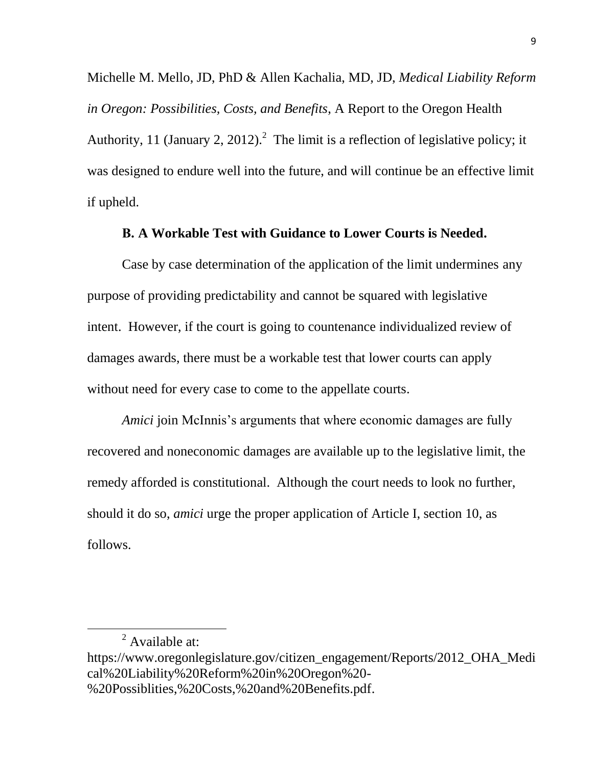Michelle M. Mello, JD, PhD & Allen Kachalia, MD, JD, *Medical Liability Reform in Oregon: Possibilities, Costs, and Benefits*, A Report to the Oregon Health Authority, 11 (January 2, 2012).<sup>2</sup> The limit is a reflection of legislative policy; it was designed to endure well into the future, and will continue be an effective limit if upheld.

#### **B. A Workable Test with Guidance to Lower Courts is Needed.**

<span id="page-17-0"></span>Case by case determination of the application of the limit undermines any purpose of providing predictability and cannot be squared with legislative intent. However, if the court is going to countenance individualized review of damages awards, there must be a workable test that lower courts can apply without need for every case to come to the appellate courts.

*Amici* join McInnis's arguments that where economic damages are fully recovered and noneconomic damages are available up to the legislative limit, the remedy afforded is constitutional. Although the court needs to look no further, should it do so, *amici* urge the proper application of Article I, section 10, as follows.

<sup>&</sup>lt;sup>2</sup> Available at:

https://www.oregonlegislature.gov/citizen\_engagement/Reports/2012\_OHA\_Medi cal%20Liability%20Reform%20in%20Oregon%20- %20Possiblities,%20Costs,%20and%20Benefits.pdf.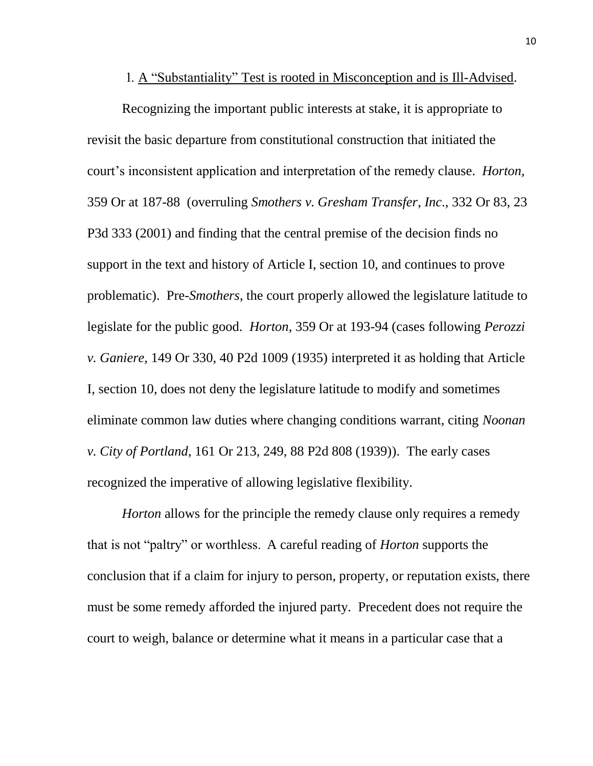#### 1. A "Substantiality" Test is rooted in Misconception and is Ill-Advised.

<span id="page-18-0"></span>Recognizing the important public interests at stake, it is appropriate to revisit the basic departure from constitutional construction that initiated the court's inconsistent application and interpretation of the remedy clause. *Horton,*  359 Or at 187-88 (overruling *Smothers v. Gresham Transfer*, *Inc*., 332 Or 83, 23 P3d 333 (2001) and finding that the central premise of the decision finds no support in the text and history of Article I, section 10, and continues to prove problematic). Pre-*Smothers*, the court properly allowed the legislature latitude to legislate for the public good. *Horton*, 359 Or at 193-94 (cases following *Perozzi v. Ganiere,* 149 Or 330, 40 P2d 1009 (1935) interpreted it as holding that Article I, section 10, does not deny the legislature latitude to modify and sometimes eliminate common law duties where changing conditions warrant, citing *Noonan v. City of Portland*, 161 Or 213, 249, 88 P2d 808 (1939)). The early cases recognized the imperative of allowing legislative flexibility.

*Horton* allows for the principle the remedy clause only requires a remedy that is not "paltry" or worthless. A careful reading of *Horton* supports the conclusion that if a claim for injury to person, property, or reputation exists, there must be some remedy afforded the injured party. Precedent does not require the court to weigh, balance or determine what it means in a particular case that a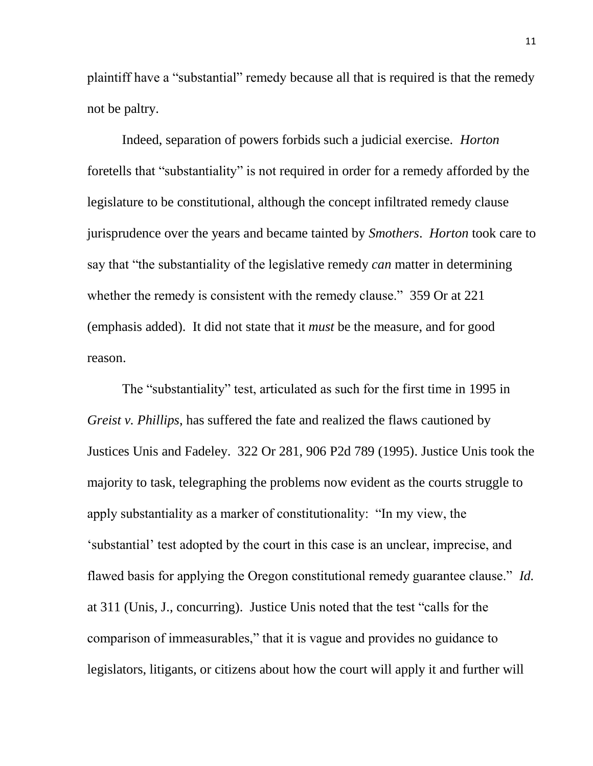plaintiff have a "substantial" remedy because all that is required is that the remedy not be paltry.

Indeed, separation of powers forbids such a judicial exercise. *Horton* foretells that "substantiality" is not required in order for a remedy afforded by the legislature to be constitutional, although the concept infiltrated remedy clause jurisprudence over the years and became tainted by *Smothers*. *Horton* took care to say that "the substantiality of the legislative remedy *can* matter in determining whether the remedy is consistent with the remedy clause." 359 Or at 221 (emphasis added). It did not state that it *must* be the measure, and for good reason.

The "substantiality" test, articulated as such for the first time in 1995 in *Greist v. Phillips*, has suffered the fate and realized the flaws cautioned by Justices Unis and Fadeley. 322 Or 281, 906 P2d 789 (1995). Justice Unis took the majority to task, telegraphing the problems now evident as the courts struggle to apply substantiality as a marker of constitutionality: "In my view, the 'substantial' test adopted by the court in this case is an unclear, imprecise, and flawed basis for applying the Oregon constitutional remedy guarantee clause." *Id.* at 311 (Unis, J., concurring). Justice Unis noted that the test "calls for the comparison of immeasurables," that it is vague and provides no guidance to legislators, litigants, or citizens about how the court will apply it and further will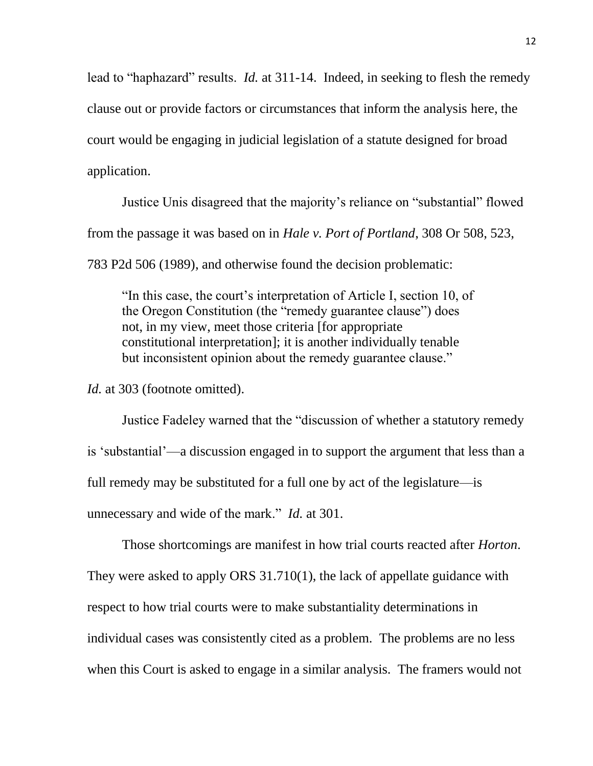lead to "haphazard" results. *Id.* at 311-14. Indeed, in seeking to flesh the remedy clause out or provide factors or circumstances that inform the analysis here, the court would be engaging in judicial legislation of a statute designed for broad application.

Justice Unis disagreed that the majority's reliance on "substantial" flowed from the passage it was based on in *Hale v. Port of Portland*, 308 Or 508, 523, 783 P2d 506 (1989), and otherwise found the decision problematic:

"In this case, the court's interpretation of Article I, section 10, of the Oregon Constitution (the "remedy guarantee clause") does not, in my view, meet those criteria [for appropriate constitutional interpretation]; it is another individually tenable but inconsistent opinion about the remedy guarantee clause."

*Id.* at 303 (footnote omitted).

Justice Fadeley warned that the "discussion of whether a statutory remedy is 'substantial'—a discussion engaged in to support the argument that less than a full remedy may be substituted for a full one by act of the legislature—is unnecessary and wide of the mark." *Id.* at 301.

Those shortcomings are manifest in how trial courts reacted after *Horton*. They were asked to apply ORS 31.710(1), the lack of appellate guidance with respect to how trial courts were to make substantiality determinations in individual cases was consistently cited as a problem. The problems are no less when this Court is asked to engage in a similar analysis. The framers would not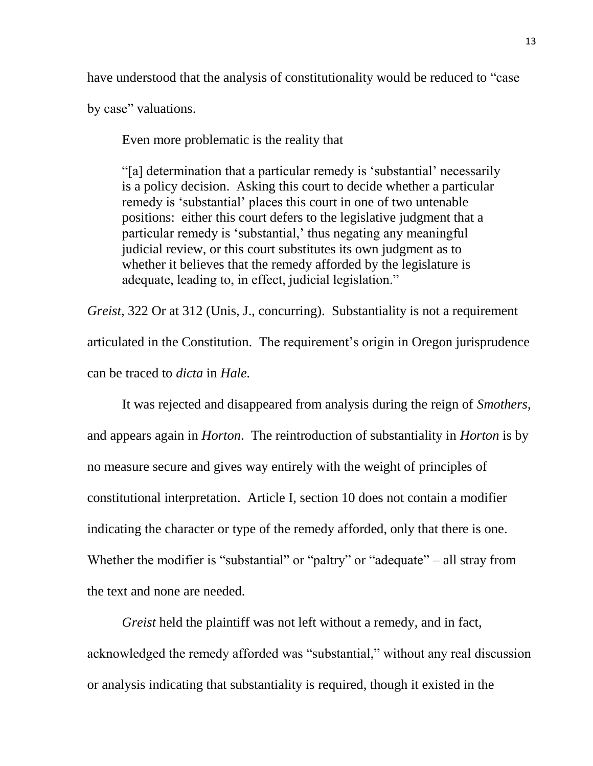have understood that the analysis of constitutionality would be reduced to "case

by case" valuations.

Even more problematic is the reality that

"[a] determination that a particular remedy is 'substantial' necessarily is a policy decision. Asking this court to decide whether a particular remedy is 'substantial' places this court in one of two untenable positions: either this court defers to the legislative judgment that a particular remedy is 'substantial,' thus negating any meaningful judicial review, or this court substitutes its own judgment as to whether it believes that the remedy afforded by the legislature is adequate, leading to, in effect, judicial legislation."

*Greist*, 322 Or at 312 (Unis, J., concurring). Substantiality is not a requirement articulated in the Constitution. The requirement's origin in Oregon jurisprudence can be traced to *dicta* in *Hale.* 

It was rejected and disappeared from analysis during the reign of *Smothers*, and appears again in *Horton*. The reintroduction of substantiality in *Horton* is by no measure secure and gives way entirely with the weight of principles of constitutional interpretation. Article I, section 10 does not contain a modifier indicating the character or type of the remedy afforded, only that there is one. Whether the modifier is "substantial" or "paltry" or "adequate" – all stray from the text and none are needed.

*Greist* held the plaintiff was not left without a remedy, and in fact, acknowledged the remedy afforded was "substantial," without any real discussion or analysis indicating that substantiality is required, though it existed in the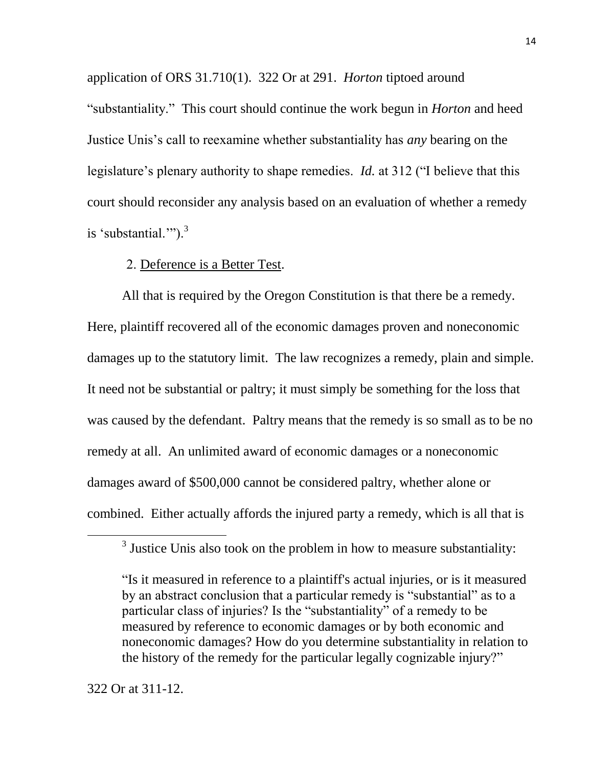application of ORS 31.710(1). 322 Or at 291. *Horton* tiptoed around "substantiality." This court should continue the work begun in *Horton* and heed Justice Unis's call to reexamine whether substantiality has *any* bearing on the legislature's plenary authority to shape remedies. *Id.* at 312 ("I believe that this court should reconsider any analysis based on an evaluation of whether a remedy is 'substantial.""). $3$ 

#### 2. Deference is a Better Test.

<span id="page-22-0"></span>All that is required by the Oregon Constitution is that there be a remedy. Here, plaintiff recovered all of the economic damages proven and noneconomic damages up to the statutory limit. The law recognizes a remedy, plain and simple. It need not be substantial or paltry; it must simply be something for the loss that was caused by the defendant. Paltry means that the remedy is so small as to be no remedy at all. An unlimited award of economic damages or a noneconomic damages award of \$500,000 cannot be considered paltry, whether alone or combined. Either actually affords the injured party a remedy, which is all that is

 $\overline{a}$ 

 $3$  Justice Unis also took on the problem in how to measure substantiality:

<sup>&</sup>quot;Is it measured in reference to a plaintiff's actual injuries, or is it measured by an abstract conclusion that a particular remedy is "substantial" as to a particular class of injuries? Is the "substantiality" of a remedy to be measured by reference to economic damages or by both economic and noneconomic damages? How do you determine substantiality in relation to the history of the remedy for the particular legally cognizable injury?"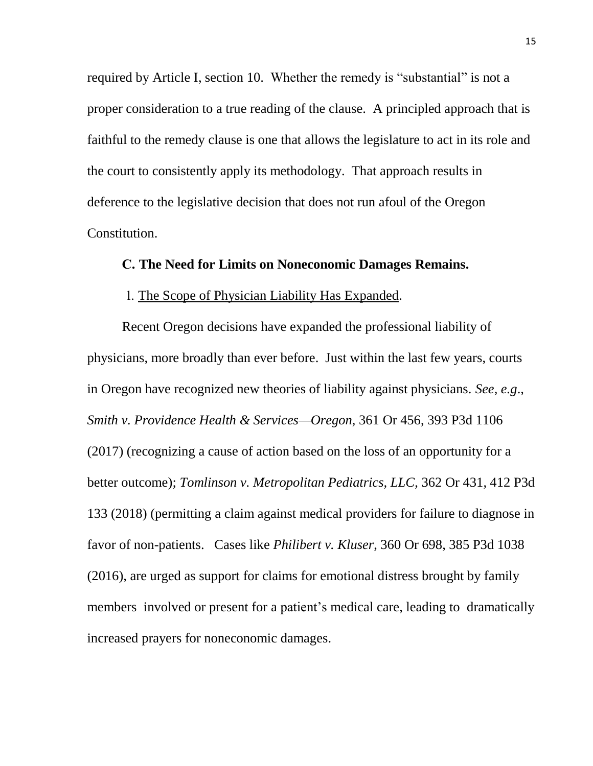required by Article I, section 10. Whether the remedy is "substantial" is not a proper consideration to a true reading of the clause. A principled approach that is faithful to the remedy clause is one that allows the legislature to act in its role and the court to consistently apply its methodology. That approach results in deference to the legislative decision that does not run afoul of the Oregon Constitution.

#### <span id="page-23-0"></span>**C. The Need for Limits on Noneconomic Damages Remains.**

### 1. The Scope of Physician Liability Has Expanded.

<span id="page-23-1"></span>Recent Oregon decisions have expanded the professional liability of physicians, more broadly than ever before. Just within the last few years, courts in Oregon have recognized new theories of liability against physicians. *See, e.g*., *Smith v. Providence Health & Services—Oregon*, 361 Or 456, 393 P3d 1106 (2017) (recognizing a cause of action based on the loss of an opportunity for a better outcome); *Tomlinson v. Metropolitan Pediatrics, LLC*, 362 Or 431, 412 P3d 133 (2018) (permitting a claim against medical providers for failure to diagnose in favor of non-patients. Cases like *Philibert v. Kluser*, 360 Or 698, 385 P3d 1038 (2016), are urged as support for claims for emotional distress brought by family members involved or present for a patient's medical care, leading to dramatically increased prayers for noneconomic damages.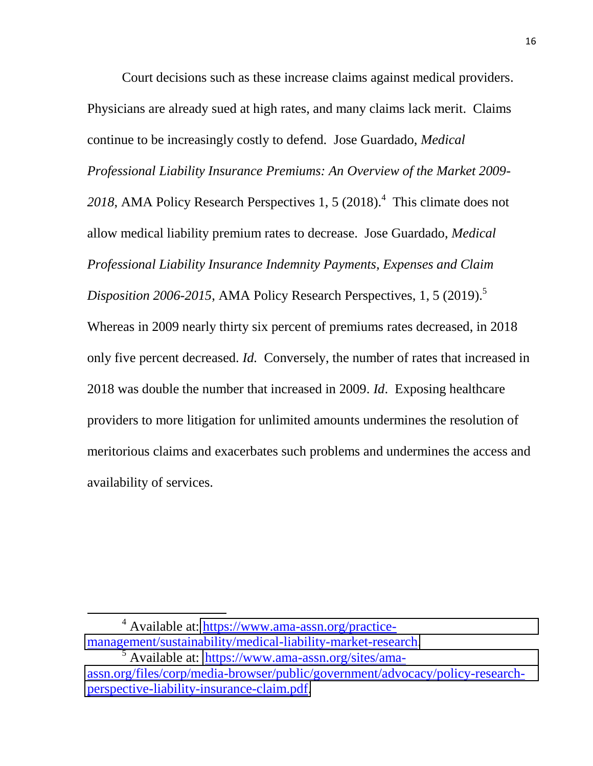Court decisions such as these increase claims against medical providers. Physicians are already sued at high rates, and many claims lack merit. Claims continue to be increasingly costly to defend. Jose Guardado, *Medical Professional Liability Insurance Premiums: An Overview of the Market 2009-* 2018, AMA Policy Research Perspectives 1, 5 (2018).<sup>4</sup> This climate does not allow medical liability premium rates to decrease. Jose Guardado, *Medical Professional Liability Insurance Indemnity Payments, Expenses and Claim Disposition 2006-2015*, AMA Policy Research Perspectives, 1, 5 (2019). 5 Whereas in 2009 nearly thirty six percent of premiums rates decreased, in 2018 only five percent decreased. *Id.* Conversely, the number of rates that increased in 2018 was double the number that increased in 2009. *Id*. Exposing healthcare providers to more litigation for unlimited amounts undermines the resolution of meritorious claims and exacerbates such problems and undermines the access and availability of services.

<sup>4</sup> Available at: [https://www.ama-assn.org/practice](https://www.ama-assn.org/practice-management/sustainability/medical-liability-market-research)[management/sustainability/medical-liability-market-research.](https://www.ama-assn.org/practice-management/sustainability/medical-liability-market-research)

<sup>5</sup> Available at: [https://www.ama-assn.org/sites/ama](https://www.ama-assn.org/sites/ama-assn.org/files/corp/media-browser/public/government/advocacy/policy-research-perspective-liability-insurance-claim.pdf)[assn.org/files/corp/media-browser/public/government/advocacy/policy-research](https://www.ama-assn.org/sites/ama-assn.org/files/corp/media-browser/public/government/advocacy/policy-research-perspective-liability-insurance-claim.pdf)[perspective-liability-insurance-claim.pdf.](https://www.ama-assn.org/sites/ama-assn.org/files/corp/media-browser/public/government/advocacy/policy-research-perspective-liability-insurance-claim.pdf)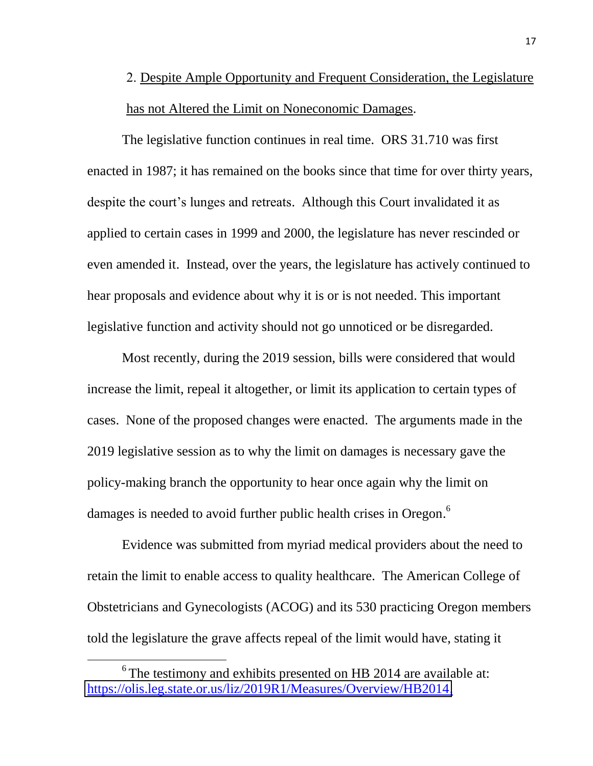# <span id="page-25-0"></span>2. Despite Ample Opportunity and Frequent Consideration, the Legislature has not Altered the Limit on Noneconomic Damages.

The legislative function continues in real time. ORS 31.710 was first enacted in 1987; it has remained on the books since that time for over thirty years, despite the court's lunges and retreats. Although this Court invalidated it as applied to certain cases in 1999 and 2000, the legislature has never rescinded or even amended it. Instead, over the years, the legislature has actively continued to hear proposals and evidence about why it is or is not needed. This important legislative function and activity should not go unnoticed or be disregarded.

Most recently, during the 2019 session, bills were considered that would increase the limit, repeal it altogether, or limit its application to certain types of cases. None of the proposed changes were enacted. The arguments made in the 2019 legislative session as to why the limit on damages is necessary gave the policy-making branch the opportunity to hear once again why the limit on damages is needed to avoid further public health crises in Oregon.<sup>6</sup>

Evidence was submitted from myriad medical providers about the need to retain the limit to enable access to quality healthcare. The American College of Obstetricians and Gynecologists (ACOG) and its 530 practicing Oregon members told the legislature the grave affects repeal of the limit would have, stating it

 $6$  The testimony and exhibits presented on HB 2014 are available at: [https://olis.leg.state.or.us/liz/2019R1/Measures/Overview/HB2014.](https://olis.leg.state.or.us/liz/2019R1/Measures/Overview/HB2014)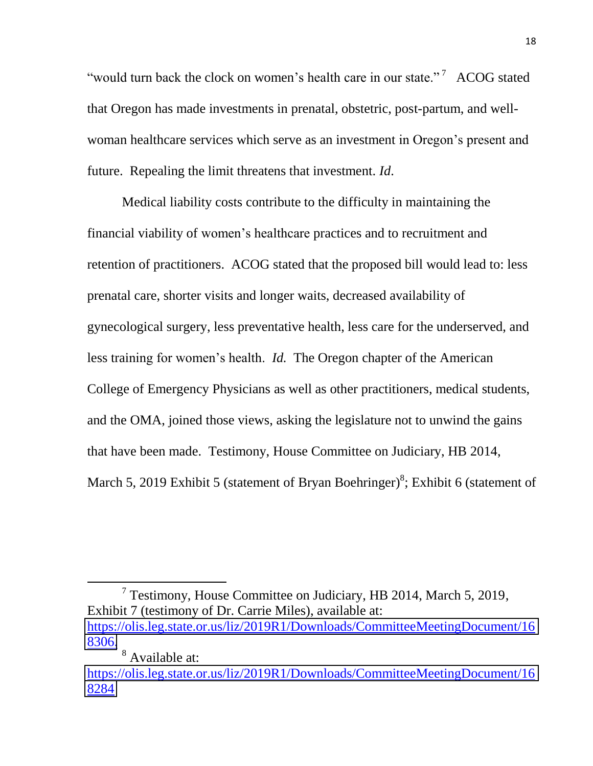"would turn back the clock on women's health care in our state."<sup>7</sup> ACOG stated that Oregon has made investments in prenatal, obstetric, post-partum, and wellwoman healthcare services which serve as an investment in Oregon's present and future. Repealing the limit threatens that investment. *Id*.

Medical liability costs contribute to the difficulty in maintaining the financial viability of women's healthcare practices and to recruitment and retention of practitioners. ACOG stated that the proposed bill would lead to: less prenatal care, shorter visits and longer waits, decreased availability of gynecological surgery, less preventative health, less care for the underserved, and less training for women's health. *Id.* The Oregon chapter of the American College of Emergency Physicians as well as other practitioners, medical students, and the OMA, joined those views, asking the legislature not to unwind the gains that have been made. Testimony, House Committee on Judiciary, HB 2014, March 5, 2019 Exhibit 5 (statement of Bryan Boehringer)<sup>8</sup>; Exhibit 6 (statement of

<sup>7</sup> Testimony, House Committee on Judiciary, HB 2014, March 5, 2019, Exhibit 7 (testimony of Dr. Carrie Miles), available at: [https://olis.leg.state.or.us/liz/2019R1/Downloads/CommitteeMeetingDocument/16](https://olis.leg.state.or.us/liz/2019R1/Downloads/CommitteeMeetingDocument/168306) [8306.](https://olis.leg.state.or.us/liz/2019R1/Downloads/CommitteeMeetingDocument/168306)

<sup>8</sup> Available at: [https://olis.leg.state.or.us/liz/2019R1/Downloads/CommitteeMeetingDocument/16](https://olis.leg.state.or.us/liz/2019R1/Downloads/CommitteeMeetingDocument/168284) [8284](https://olis.leg.state.or.us/liz/2019R1/Downloads/CommitteeMeetingDocument/168284)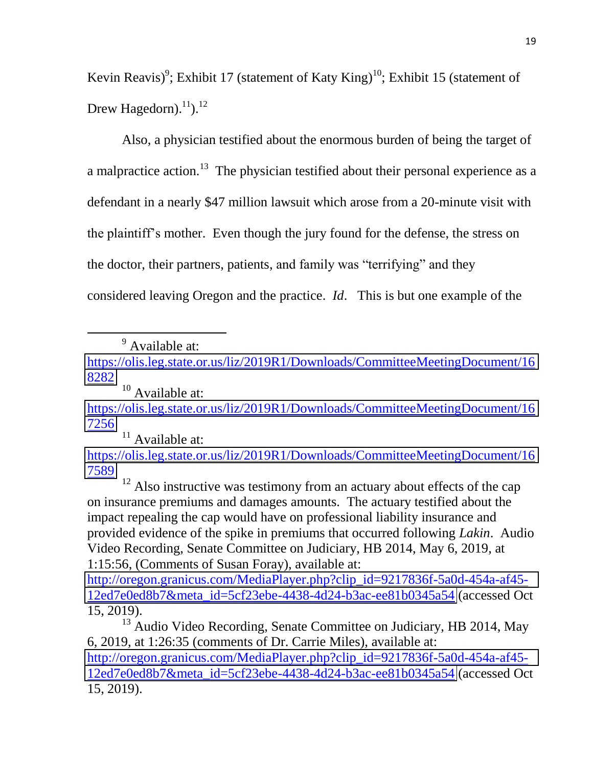Kevin Reavis)<sup>9</sup>; Exhibit 17 (statement of Katy King)<sup>10</sup>; Exhibit 15 (statement of Drew Hagedorn).<sup>11</sup>).<sup>12</sup>

Also, a physician testified about the enormous burden of being the target of a malpractice action.<sup>13</sup> The physician testified about their personal experience as a defendant in a nearly \$47 million lawsuit which arose from a 20-minute visit with the plaintiff's mother. Even though the jury found for the defense, the stress on the doctor, their partners, patients, and family was "terrifying" and they considered leaving Oregon and the practice. *Id*. This is but one example of the

<sup>9</sup> Available at:

 $\overline{\phantom{a}}$ 

<sup>10</sup> Available at: [https://olis.leg.state.or.us/liz/2019R1/Downloads/CommitteeMeetingDocument/16](https://olis.leg.state.or.us/liz/2019R1/Downloads/CommitteeMeetingDocument/167256) [7256](https://olis.leg.state.or.us/liz/2019R1/Downloads/CommitteeMeetingDocument/167256)

<sup>11</sup> Available at:

[https://olis.leg.state.or.us/liz/2019R1/Downloads/CommitteeMeetingDocument/16](https://olis.leg.state.or.us/liz/2019R1/Downloads/CommitteeMeetingDocument/167589) [7589](https://olis.leg.state.or.us/liz/2019R1/Downloads/CommitteeMeetingDocument/167589)

<sup>12</sup> Also instructive was testimony from an actuary about effects of the cap on insurance premiums and damages amounts. The actuary testified about the impact repealing the cap would have on professional liability insurance and provided evidence of the spike in premiums that occurred following *Lakin*. Audio Video Recording, Senate Committee on Judiciary, HB 2014, May 6, 2019, at 1:15:56, (Comments of Susan Foray), available at:

[http://oregon.granicus.com/MediaPlayer.php?clip\\_id=9217836f-5a0d-454a-af45-](http://oregon.granicus.com/MediaPlayer.php?clip_id=9217836f-5a0d-454a-af45-12ed7e0ed8b7&meta_id=5cf23ebe-4438-4d24-b3ac-ee81b0345a54) [12ed7e0ed8b7&meta\\_id=5cf23ebe-4438-4d24-b3ac-ee81b0345a54](http://oregon.granicus.com/MediaPlayer.php?clip_id=9217836f-5a0d-454a-af45-12ed7e0ed8b7&meta_id=5cf23ebe-4438-4d24-b3ac-ee81b0345a54) (accessed Oct 15, 2019).

<sup>13</sup> Audio Video Recording, Senate Committee on Judiciary, HB 2014, May 6, 2019, at 1:26:35 (comments of Dr. Carrie Miles), available at: [http://oregon.granicus.com/MediaPlayer.php?clip\\_id=9217836f-5a0d-454a-af45-](http://oregon.granicus.com/MediaPlayer.php?clip_id=9217836f-5a0d-454a-af45-12ed7e0ed8b7&meta_id=5cf23ebe-4438-4d24-b3ac-ee81b0345a54) [12ed7e0ed8b7&meta\\_id=5cf23ebe-4438-4d24-b3ac-ee81b0345a54](http://oregon.granicus.com/MediaPlayer.php?clip_id=9217836f-5a0d-454a-af45-12ed7e0ed8b7&meta_id=5cf23ebe-4438-4d24-b3ac-ee81b0345a54) (accessed Oct 15, 2019).

[https://olis.leg.state.or.us/liz/2019R1/Downloads/CommitteeMeetingDocument/16](https://olis.leg.state.or.us/liz/2019R1/Downloads/CommitteeMeetingDocument/168282) [8282](https://olis.leg.state.or.us/liz/2019R1/Downloads/CommitteeMeetingDocument/168282)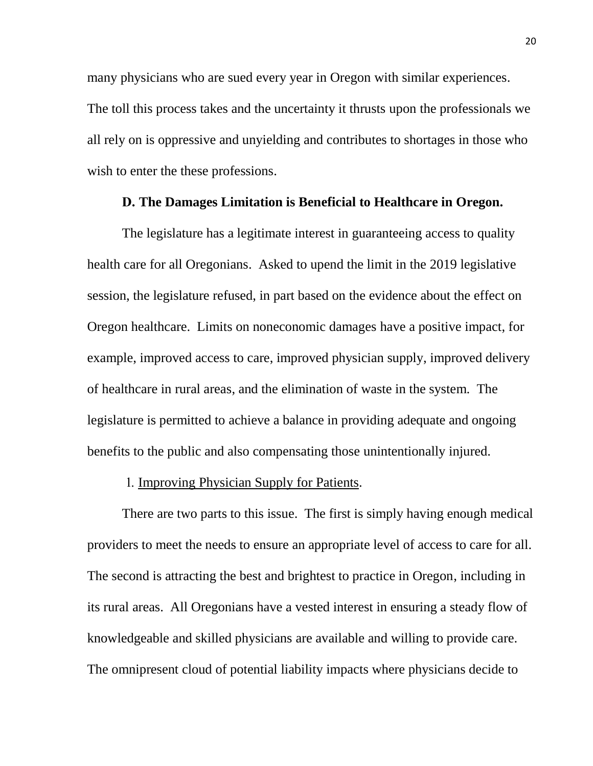many physicians who are sued every year in Oregon with similar experiences. The toll this process takes and the uncertainty it thrusts upon the professionals we all rely on is oppressive and unyielding and contributes to shortages in those who wish to enter the these professions.

#### **D. The Damages Limitation is Beneficial to Healthcare in Oregon.**

<span id="page-28-0"></span>The legislature has a legitimate interest in guaranteeing access to quality health care for all Oregonians. Asked to upend the limit in the 2019 legislative session, the legislature refused, in part based on the evidence about the effect on Oregon healthcare. Limits on noneconomic damages have a positive impact, for example, improved access to care, improved physician supply, improved delivery of healthcare in rural areas, and the elimination of waste in the system. The legislature is permitted to achieve a balance in providing adequate and ongoing benefits to the public and also compensating those unintentionally injured.

#### 1. Improving Physician Supply for Patients.

<span id="page-28-1"></span>There are two parts to this issue. The first is simply having enough medical providers to meet the needs to ensure an appropriate level of access to care for all. The second is attracting the best and brightest to practice in Oregon, including in its rural areas. All Oregonians have a vested interest in ensuring a steady flow of knowledgeable and skilled physicians are available and willing to provide care. The omnipresent cloud of potential liability impacts where physicians decide to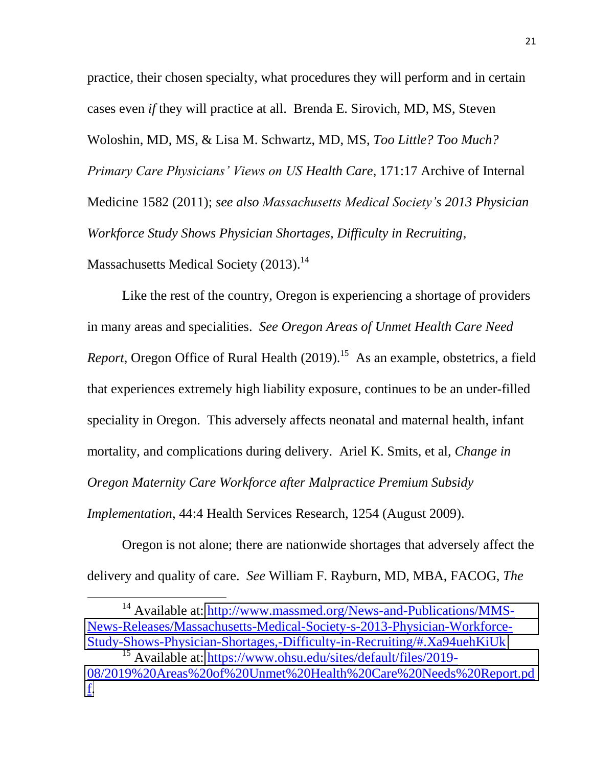practice, their chosen specialty, what procedures they will perform and in certain cases even *if* they will practice at all. Brenda E. Sirovich, MD, MS, Steven Woloshin, MD, MS, & Lisa M. Schwartz, MD, MS, *Too Little? Too Much? Primary Care Physicians' Views on US Health Care*, 171:17 Archive of Internal Medicine 1582 (2011); *see also Massachusetts Medical Society's 2013 Physician Workforce Study Shows Physician Shortages, Difficulty in Recruiting*, Massachusetts Medical Society (2013).<sup>14</sup>

Like the rest of the country, Oregon is experiencing a shortage of providers in many areas and specialities. *See Oregon Areas of Unmet Health Care Need Report*, Oregon Office of Rural Health (2019). 15 As an example, obstetrics, a field that experiences extremely high liability exposure, continues to be an under-filled speciality in Oregon. This adversely affects neonatal and maternal health, infant mortality, and complications during delivery. Ariel K. Smits, et al, *Change in Oregon Maternity Care Workforce after Malpractice Premium Subsidy Implementation*, 44:4 Health Services Research, 1254 (August 2009).

Oregon is not alone; there are nationwide shortages that adversely affect the delivery and quality of care. *See* William F. Rayburn, MD, MBA, FACOG, *The* 

<sup>&</sup>lt;sup>14</sup> Available at: [http://www.massmed.org/News-and-Publications/MMS-](http://www.massmed.org/News-and-Publications/MMS-News-Releases/Massachusetts-Medical-Society-s-2013-Physician-Workforce-Study-Shows-Physician-Shortages,-Difficulty-in-Recruiting/#.Xa94uehKiUk)[News-Releases/Massachusetts-Medical-Society-s-2013-Physician-Workforce-](http://www.massmed.org/News-and-Publications/MMS-News-Releases/Massachusetts-Medical-Society-s-2013-Physician-Workforce-Study-Shows-Physician-Shortages,-Difficulty-in-Recruiting/#.Xa94uehKiUk)[Study-Shows-Physician-Shortages,-Difficulty-in-Recruiting/#.Xa94uehKiUk](http://www.massmed.org/News-and-Publications/MMS-News-Releases/Massachusetts-Medical-Society-s-2013-Physician-Workforce-Study-Shows-Physician-Shortages,-Difficulty-in-Recruiting/#.Xa94uehKiUk)

<sup>&</sup>lt;sup>15</sup> Available at: [https://www.ohsu.edu/sites/default/files/2019-](https://www.ohsu.edu/sites/default/files/2019-08/2019%20Areas%20of%20Unmet%20Health%20Care%20Needs%20Report.pdf) [08/2019%20Areas%20of%20Unmet%20Health%20Care%20Needs%20Report.pd](https://www.ohsu.edu/sites/default/files/2019-08/2019%20Areas%20of%20Unmet%20Health%20Care%20Needs%20Report.pdf) [f.](https://www.ohsu.edu/sites/default/files/2019-08/2019%20Areas%20of%20Unmet%20Health%20Care%20Needs%20Report.pdf)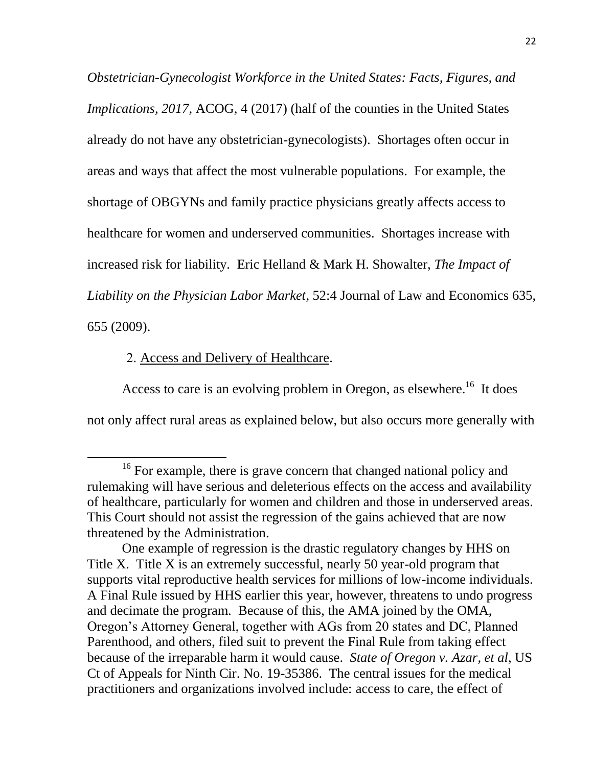*Obstetrician-Gynecologist Workforce in the United States: Facts, Figures, and Implications, 2017, ACOG, 4 (2017)* (half of the counties in the United States already do not have any obstetrician-gynecologists). Shortages often occur in areas and ways that affect the most vulnerable populations. For example, the shortage of OBGYNs and family practice physicians greatly affects access to healthcare for women and underserved communities. Shortages increase with increased risk for liability. Eric Helland & Mark H. Showalter, *The Impact of Liability on the Physician Labor Market*, 52:4 Journal of Law and Economics 635, 655 (2009).

### 2. Access and Delivery of Healthcare.

l

<span id="page-30-0"></span>Access to care is an evolving problem in Oregon, as elsewhere.<sup>16</sup> It does not only affect rural areas as explained below, but also occurs more generally with

<sup>&</sup>lt;sup>16</sup> For example, there is grave concern that changed national policy and rulemaking will have serious and deleterious effects on the access and availability of healthcare, particularly for women and children and those in underserved areas. This Court should not assist the regression of the gains achieved that are now threatened by the Administration.

One example of regression is the drastic regulatory changes by HHS on Title X. Title X is an extremely successful, nearly 50 year-old program that supports vital reproductive health services for millions of low-income individuals. A Final Rule issued by HHS earlier this year, however, threatens to undo progress and decimate the program. Because of this, the AMA joined by the OMA, Oregon's Attorney General, together with AGs from 20 states and DC, Planned Parenthood, and others, filed suit to prevent the Final Rule from taking effect because of the irreparable harm it would cause. *State of Oregon v. Azar, et al*, US Ct of Appeals for Ninth Cir. No. 19-35386. The central issues for the medical practitioners and organizations involved include: access to care, the effect of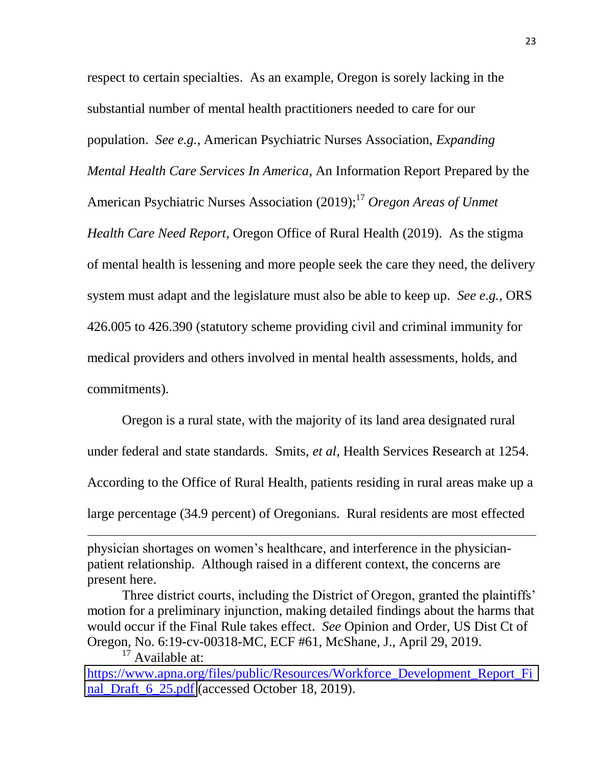respect to certain specialties. As an example, Oregon is sorely lacking in the substantial number of mental health practitioners needed to care for our population. *See e.g.*, American Psychiatric Nurses Association, *Expanding Mental Health Care Services In America*, An Information Report Prepared by the American Psychiatric Nurses Association (2019); <sup>17</sup> *Oregon Areas of Unmet Health Care Need Report*, Oregon Office of Rural Health (2019). As the stigma of mental health is lessening and more people seek the care they need, the delivery system must adapt and the legislature must also be able to keep up. *See e.g.*, ORS 426.005 to 426.390 (statutory scheme providing civil and criminal immunity for medical providers and others involved in mental health assessments, holds, and commitments).

Oregon is a rural state, with the majority of its land area designated rural under federal and state standards. Smits, *et al*, Health Services Research at 1254. According to the Office of Rural Health, patients residing in rural areas make up a large percentage (34.9 percent) of Oregonians. Rural residents are most effected

 $\overline{a}$ 

physician shortages on women's healthcare, and interference in the physicianpatient relationship. Although raised in a different context, the concerns are present here.

Three district courts, including the District of Oregon, granted the plaintiffs' motion for a preliminary injunction, making detailed findings about the harms that would occur if the Final Rule takes effect. *See* Opinion and Order, US Dist Ct of Oregon, No. 6:19-cv-00318-MC, ECF #61, McShane, J., April 29, 2019.  $17$  Available at:

[https://www.apna.org/files/public/Resources/Workforce\\_Development\\_Report\\_Fi](https://www.apna.org/files/public/Resources/Workforce_Development_Report_Final_Draft_6_25.pdf) [nal\\_Draft\\_6\\_25.pdf](https://www.apna.org/files/public/Resources/Workforce_Development_Report_Final_Draft_6_25.pdf) (accessed October 18, 2019).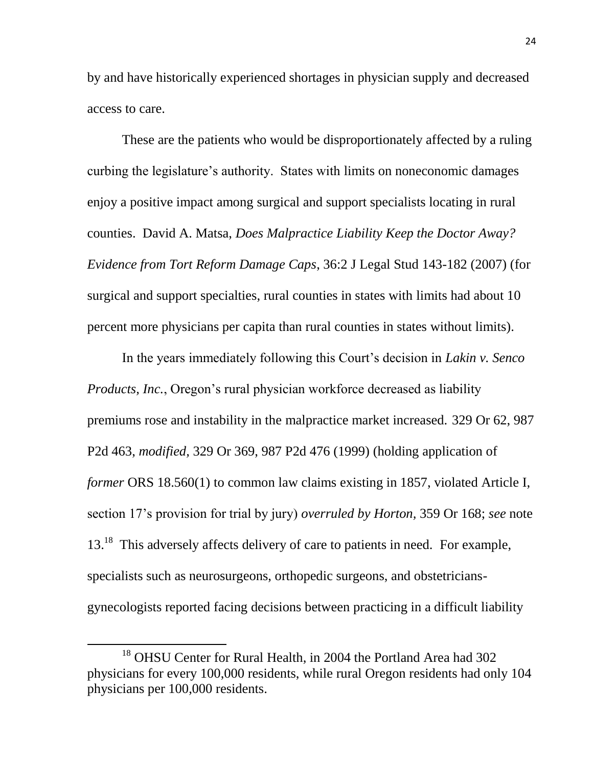by and have historically experienced shortages in physician supply and decreased access to care.

These are the patients who would be disproportionately affected by a ruling curbing the legislature's authority. States with limits on noneconomic damages enjoy a positive impact among surgical and support specialists locating in rural counties. David A. Matsa, *Does Malpractice Liability Keep the Doctor Away? Evidence from Tort Reform Damage Caps*, 36:2 J Legal Stud 143-182 (2007) (for surgical and support specialties, rural counties in states with limits had about 10 percent more physicians per capita than rural counties in states without limits).

In the years immediately following this Court's decision in *Lakin v. Senco Products, Inc.*, Oregon's rural physician workforce decreased as liability premiums rose and instability in the malpractice market increased. 329 Or 62, 987 P2d 463, *modified,* 329 Or 369, 987 P2d 476 (1999) (holding application of *former* ORS 18.560(1) to common law claims existing in 1857, violated Article I, section 17's provision for trial by jury) *overruled by Horton,* 359 Or 168; *see* note 13.<sup>18</sup> This adversely affects delivery of care to patients in need. For example, specialists such as neurosurgeons, orthopedic surgeons, and obstetriciansgynecologists reported facing decisions between practicing in a difficult liability

<sup>&</sup>lt;sup>18</sup> OHSU Center for Rural Health, in 2004 the Portland Area had 302 physicians for every 100,000 residents, while rural Oregon residents had only 104 physicians per 100,000 residents.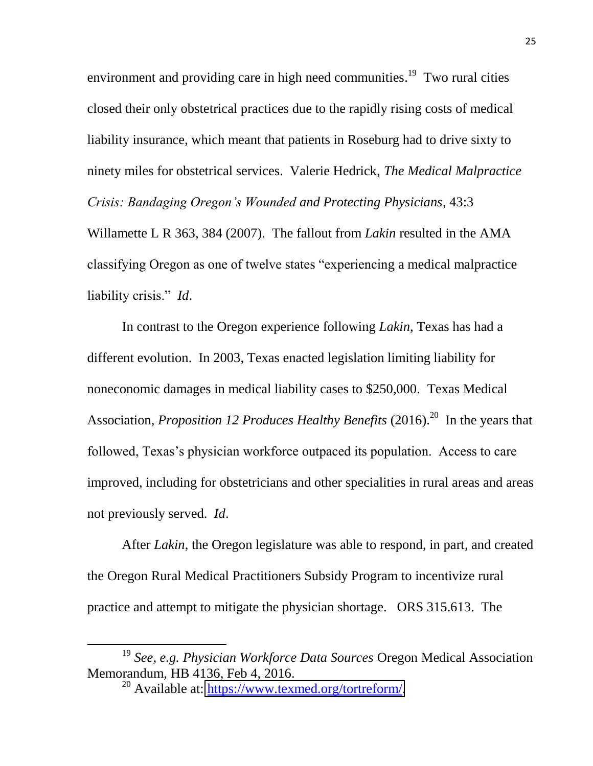environment and providing care in high need communities.<sup>19</sup> Two rural cities closed their only obstetrical practices due to the rapidly rising costs of medical liability insurance, which meant that patients in Roseburg had to drive sixty to ninety miles for obstetrical services. Valerie Hedrick, *The Medical Malpractice Crisis: Bandaging Oregon's Wounded and Protecting Physicians*, 43:3

Willamette L R 363, 384 (2007). The fallout from *Lakin* resulted in the AMA classifying Oregon as one of twelve states "experiencing a medical malpractice liability crisis." *Id*.

In contrast to the Oregon experience following *Lakin*, Texas has had a different evolution. In 2003, Texas enacted legislation limiting liability for noneconomic damages in medical liability cases to \$250,000. Texas Medical Association, *Proposition 12 Produces Healthy Benefits* (2016). <sup>20</sup> In the years that followed, Texas's physician workforce outpaced its population. Access to care improved, including for obstetricians and other specialities in rural areas and areas not previously served. *Id*.

After *Lakin*, the Oregon legislature was able to respond, in part, and created the Oregon Rural Medical Practitioners Subsidy Program to incentivize rural practice and attempt to mitigate the physician shortage. ORS 315.613. The

<sup>19</sup> *See, e.g. Physician Workforce Data Sources* Oregon Medical Association Memorandum*,* HB 4136, Feb 4, 2016.

 $^{20}$  Available at: [https://www.texmed.org/tortreform/.](https://www.texmed.org/tortreform/)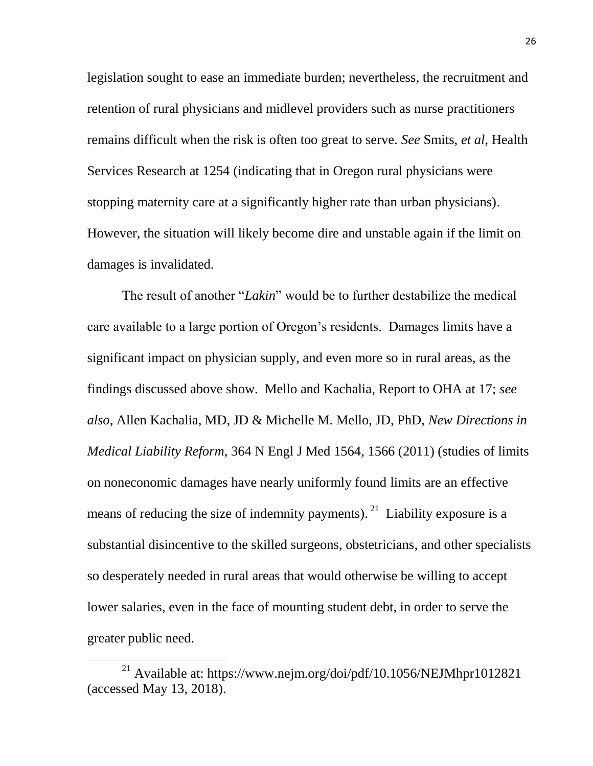legislation sought to ease an immediate burden; nevertheless, the recruitment and retention of rural physicians and midlevel providers such as nurse practitioners remains difficult when the risk is often too great to serve. *See* Smits, *et al*, Health Services Research at 1254 (indicating that in Oregon rural physicians were stopping maternity care at a significantly higher rate than urban physicians). However, the situation will likely become dire and unstable again if the limit on damages is invalidated.

The result of another "*Lakin*" would be to further destabilize the medical care available to a large portion of Oregon's residents. Damages limits have a significant impact on physician supply, and even more so in rural areas, as the findings discussed above show. Mello and Kachalia, Report to OHA at 17; *see also*, Allen Kachalia, MD, JD & Michelle M. Mello, JD, PhD, *New Directions in Medical Liability Reform*, 364 N Engl J Med 1564, 1566 (2011) (studies of limits on noneconomic damages have nearly uniformly found limits are an effective means of reducing the size of indemnity payments). <sup>21</sup> Liability exposure is a substantial disincentive to the skilled surgeons, obstetricians, and other specialists so desperately needed in rural areas that would otherwise be willing to accept lower salaries, even in the face of mounting student debt, in order to serve the greater public need.

<sup>21</sup> Available at: https://www.nejm.org/doi/pdf/10.1056/NEJMhpr1012821 (accessed May 13, 2018).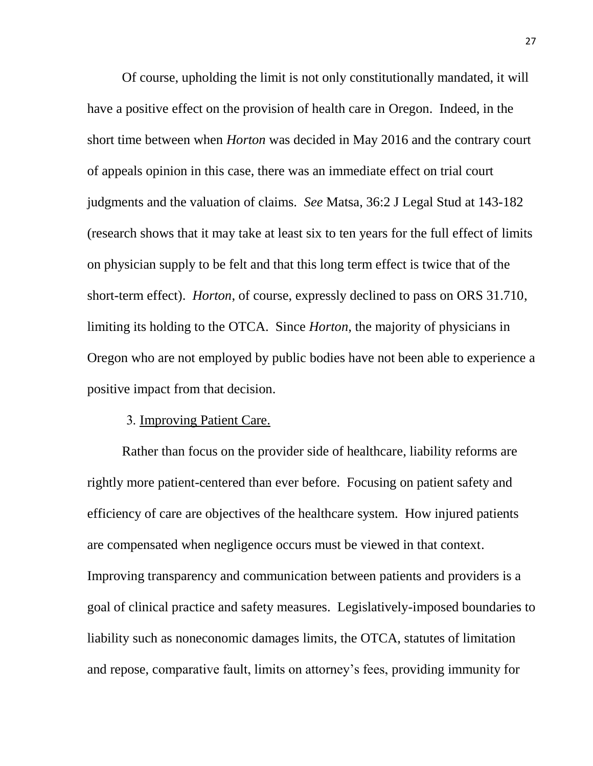Of course, upholding the limit is not only constitutionally mandated, it will have a positive effect on the provision of health care in Oregon. Indeed, in the short time between when *Horton* was decided in May 2016 and the contrary court of appeals opinion in this case, there was an immediate effect on trial court judgments and the valuation of claims. *See* Matsa, 36:2 J Legal Stud at 143-182 (research shows that it may take at least six to ten years for the full effect of limits on physician supply to be felt and that this long term effect is twice that of the short-term effect). *Horton*, of course, expressly declined to pass on ORS 31.710, limiting its holding to the OTCA. Since *Horton*, the majority of physicians in Oregon who are not employed by public bodies have not been able to experience a positive impact from that decision.

#### 3. Improving Patient Care.

<span id="page-35-0"></span>Rather than focus on the provider side of healthcare, liability reforms are rightly more patient-centered than ever before. Focusing on patient safety and efficiency of care are objectives of the healthcare system. How injured patients are compensated when negligence occurs must be viewed in that context. Improving transparency and communication between patients and providers is a goal of clinical practice and safety measures. Legislatively-imposed boundaries to liability such as noneconomic damages limits, the OTCA, statutes of limitation and repose, comparative fault, limits on attorney's fees, providing immunity for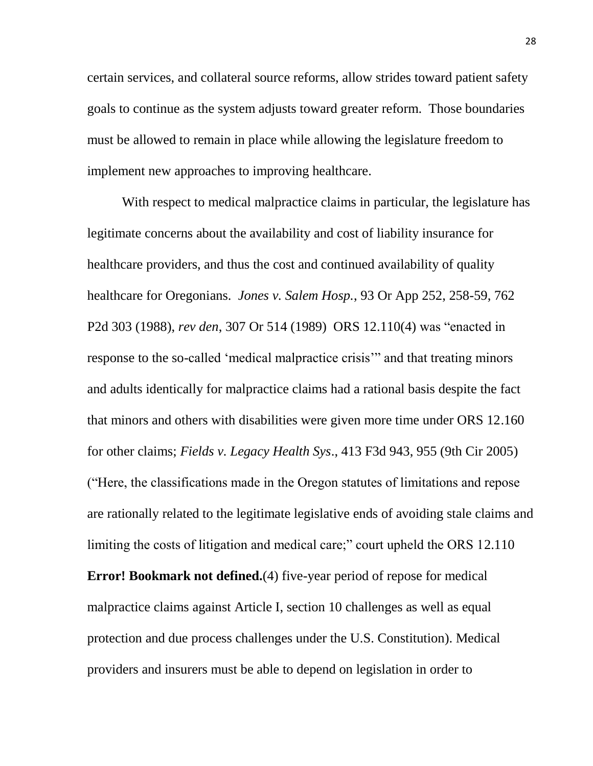certain services, and collateral source reforms, allow strides toward patient safety goals to continue as the system adjusts toward greater reform. Those boundaries must be allowed to remain in place while allowing the legislature freedom to implement new approaches to improving healthcare.

With respect to medical malpractice claims in particular, the legislature has legitimate concerns about the availability and cost of liability insurance for healthcare providers, and thus the cost and continued availability of quality healthcare for Oregonians. *Jones v. Salem Hosp.*, 93 Or App 252, 258-59, 762 P2d 303 (1988), *rev den*, 307 Or 514 (1989) ORS 12.110(4) was "enacted in response to the so-called 'medical malpractice crisis'" and that treating minors and adults identically for malpractice claims had a rational basis despite the fact that minors and others with disabilities were given more time under ORS 12.160 for other claims; *Fields v. Legacy Health Sys*., 413 F3d 943, 955 (9th Cir 2005) ("Here, the classifications made in the Oregon statutes of limitations and repose are rationally related to the legitimate legislative ends of avoiding stale claims and limiting the costs of litigation and medical care;" court upheld the ORS 12.110 **Error! Bookmark not defined.**(4) five-year period of repose for medical malpractice claims against Article I, section 10 challenges as well as equal protection and due process challenges under the U.S. Constitution). Medical providers and insurers must be able to depend on legislation in order to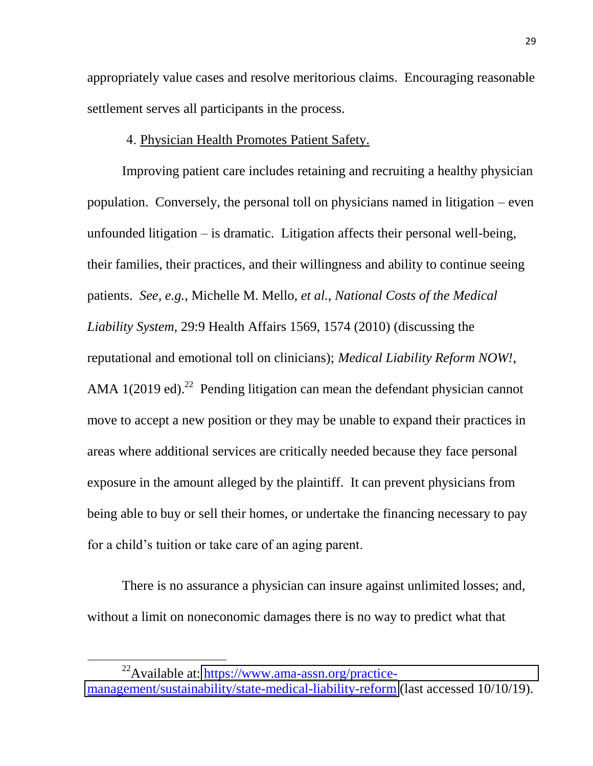appropriately value cases and resolve meritorious claims. Encouraging reasonable settlement serves all participants in the process.

#### 4. Physician Health Promotes Patient Safety.

<span id="page-37-0"></span>Improving patient care includes retaining and recruiting a healthy physician population. Conversely, the personal toll on physicians named in litigation – even unfounded litigation – is dramatic. Litigation affects their personal well-being, their families, their practices, and their willingness and ability to continue seeing patients. *See, e.g.*, Michelle M. Mello, *et al.*, *National Costs of the Medical Liability System,* 29:9 Health Affairs 1569, 1574 (2010) (discussing the reputational and emotional toll on clinicians); *Medical Liability Reform NOW!*, AMA  $1(2019 \text{ ed.})^{22}$  Pending litigation can mean the defendant physician cannot move to accept a new position or they may be unable to expand their practices in areas where additional services are critically needed because they face personal exposure in the amount alleged by the plaintiff. It can prevent physicians from being able to buy or sell their homes, or undertake the financing necessary to pay for a child's tuition or take care of an aging parent.

There is no assurance a physician can insure against unlimited losses; and, without a limit on noneconomic damages there is no way to predict what that

 $^{22}$ Available at: [https://www.ama-assn.org/practice](https://www.ama-assn.org/practice-management/sustainability/state-medical-liability-reform)[management/sustainability/state-medical-liability-reform](https://www.ama-assn.org/practice-management/sustainability/state-medical-liability-reform) (last accessed 10/10/19).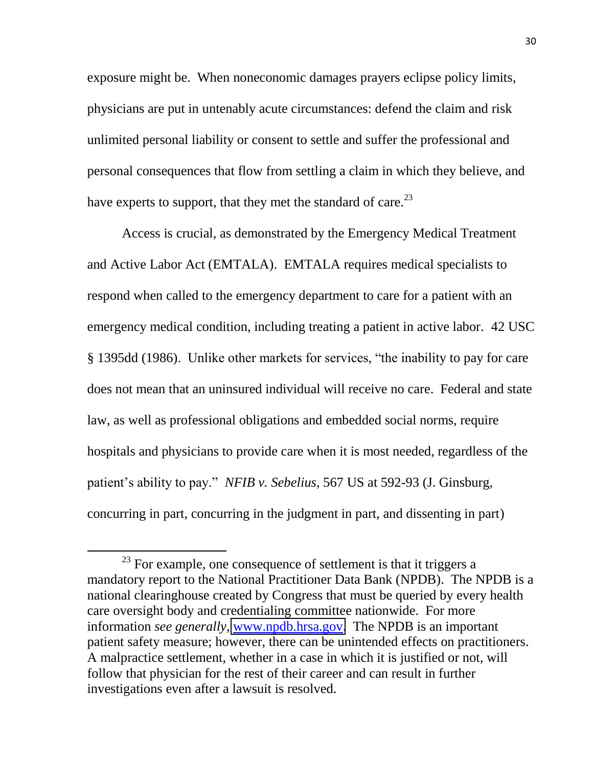exposure might be. When noneconomic damages prayers eclipse policy limits, physicians are put in untenably acute circumstances: defend the claim and risk unlimited personal liability or consent to settle and suffer the professional and personal consequences that flow from settling a claim in which they believe, and have experts to support, that they met the standard of care.<sup>23</sup>

Access is crucial, as demonstrated by the Emergency Medical Treatment and Active Labor Act (EMTALA). EMTALA requires medical specialists to respond when called to the emergency department to care for a patient with an emergency medical condition, including treating a patient in active labor. 42 USC § 1395dd (1986). Unlike other markets for services, "the inability to pay for care does not mean that an uninsured individual will receive no care. Federal and state law, as well as professional obligations and embedded social norms, require hospitals and physicians to provide care when it is most needed, regardless of the patient's ability to pay." *NFIB v. Sebelius*, 567 US at 592-93 (J. Ginsburg, concurring in part, concurring in the judgment in part, and dissenting in part)

 $23$  For example, one consequence of settlement is that it triggers a mandatory report to the National Practitioner Data Bank (NPDB). The NPDB is a national clearinghouse created by Congress that must be queried by every health care oversight body and credentialing committee nationwide. For more information *see generally*, [www.npdb.hrsa.gov.](http://www.npdb.hrsa.gov/) The NPDB is an important patient safety measure; however, there can be unintended effects on practitioners. A malpractice settlement, whether in a case in which it is justified or not, will follow that physician for the rest of their career and can result in further investigations even after a lawsuit is resolved.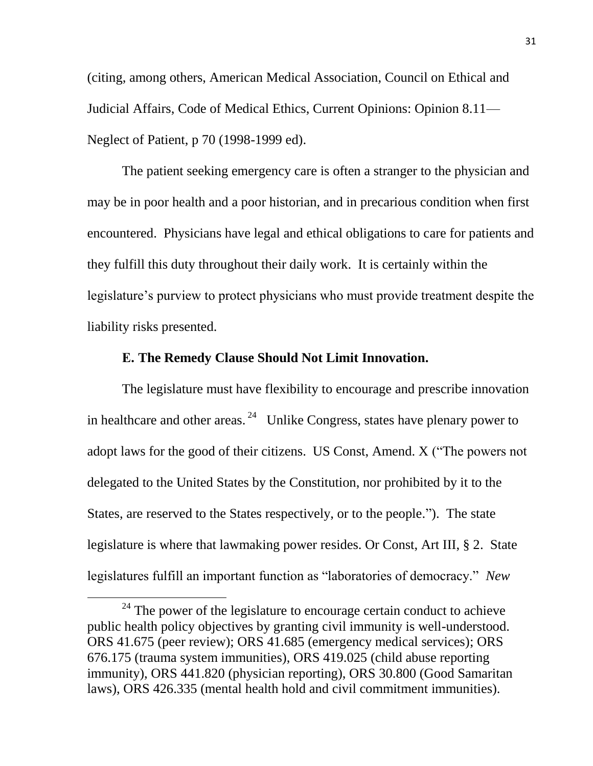(citing, among others, American Medical Association, Council on Ethical and Judicial Affairs, Code of Medical Ethics, Current Opinions: Opinion 8.11— Neglect of Patient, p 70 (1998-1999 ed).

The patient seeking emergency care is often a stranger to the physician and may be in poor health and a poor historian, and in precarious condition when first encountered. Physicians have legal and ethical obligations to care for patients and they fulfill this duty throughout their daily work. It is certainly within the legislature's purview to protect physicians who must provide treatment despite the liability risks presented.

#### **E. The Remedy Clause Should Not Limit Innovation.**

<span id="page-39-0"></span>The legislature must have flexibility to encourage and prescribe innovation in healthcare and other areas.  $24$  Unlike Congress, states have plenary power to adopt laws for the good of their citizens. US Const, Amend. X ("The powers not delegated to the United States by the Constitution, nor prohibited by it to the States, are reserved to the States respectively, or to the people."). The state legislature is where that lawmaking power resides. Or Const, Art III, § 2. State legislatures fulfill an important function as "laboratories of democracy." *New* 

 $24$  The power of the legislature to encourage certain conduct to achieve public health policy objectives by granting civil immunity is well-understood. ORS 41.675 (peer review); ORS 41.685 (emergency medical services); ORS 676.175 (trauma system immunities), ORS 419.025 (child abuse reporting immunity), ORS 441.820 (physician reporting), ORS 30.800 (Good Samaritan laws), ORS 426.335 (mental health hold and civil commitment immunities).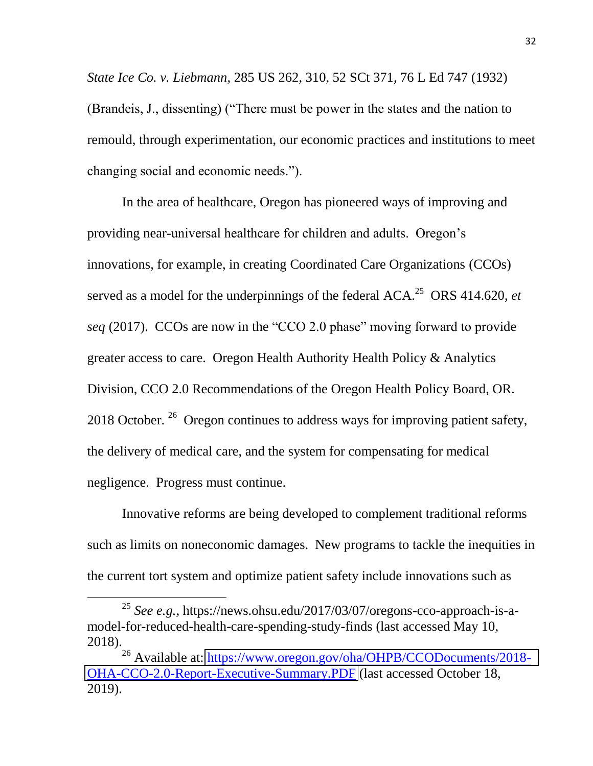*State Ice Co. v. Liebmann*, 285 US 262, 310, 52 SCt 371, 76 L Ed 747 (1932) (Brandeis, J., dissenting) ("There must be power in the states and the nation to remould, through experimentation, our economic practices and institutions to meet changing social and economic needs.").

In the area of healthcare, Oregon has pioneered ways of improving and providing near-universal healthcare for children and adults. Oregon's innovations, for example, in creating Coordinated Care Organizations (CCOs) served as a model for the underpinnings of the federal ACA.<sup>25</sup> ORS 414.620, *et seq* (2017). CCOs are now in the "CCO 2.0 phase" moving forward to provide greater access to care. Oregon Health Authority Health Policy & Analytics Division, CCO 2.0 Recommendations of the Oregon Health Policy Board, OR. 2018 October.  $26$  Oregon continues to address ways for improving patient safety, the delivery of medical care, and the system for compensating for medical negligence. Progress must continue.

Innovative reforms are being developed to complement traditional reforms such as limits on noneconomic damages. New programs to tackle the inequities in the current tort system and optimize patient safety include innovations such as

<sup>25</sup> *See e.g.,* https://news.ohsu.edu/2017/03/07/oregons-cco-approach-is-amodel-for-reduced-health-care-spending-study-finds (last accessed May 10, 2018).

<sup>&</sup>lt;sup>26</sup> Available at: [https://www.oregon.gov/oha/OHPB/CCODocuments/2018-](https://protect-us.mimecast.com/s/PKnjCkRBv8sZkEoh2c97C?domain=oregon.gov) [OHA-CCO-2.0-Report-Executive-Summary.PDF](https://protect-us.mimecast.com/s/PKnjCkRBv8sZkEoh2c97C?domain=oregon.gov) (last accessed October 18, 2019).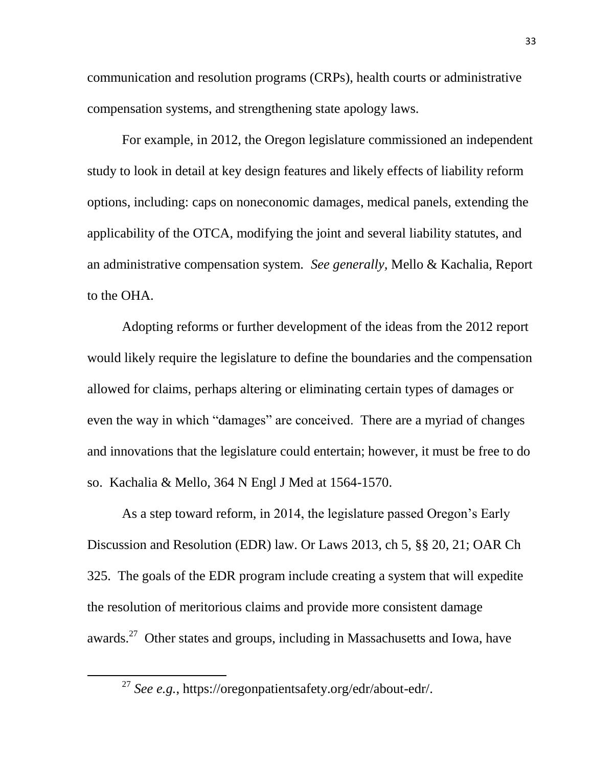communication and resolution programs (CRPs), health courts or administrative compensation systems, and strengthening state apology laws.

For example, in 2012, the Oregon legislature commissioned an independent study to look in detail at key design features and likely effects of liability reform options, including: caps on noneconomic damages, medical panels, extending the applicability of the OTCA, modifying the joint and several liability statutes, and an administrative compensation system. *See generally,* Mello & Kachalia, Report to the OHA.

Adopting reforms or further development of the ideas from the 2012 report would likely require the legislature to define the boundaries and the compensation allowed for claims, perhaps altering or eliminating certain types of damages or even the way in which "damages" are conceived. There are a myriad of changes and innovations that the legislature could entertain; however, it must be free to do so. Kachalia & Mello, 364 N Engl J Med at 1564-1570.

As a step toward reform, in 2014, the legislature passed Oregon's Early Discussion and Resolution (EDR) law. Or Laws 2013, ch 5, §§ 20, 21; OAR Ch 325. The goals of the EDR program include creating a system that will expedite the resolution of meritorious claims and provide more consistent damage awards.<sup>27</sup> Other states and groups, including in Massachusetts and Iowa, have

l

<sup>27</sup> *See e.g.*, https://oregonpatientsafety.org/edr/about-edr/.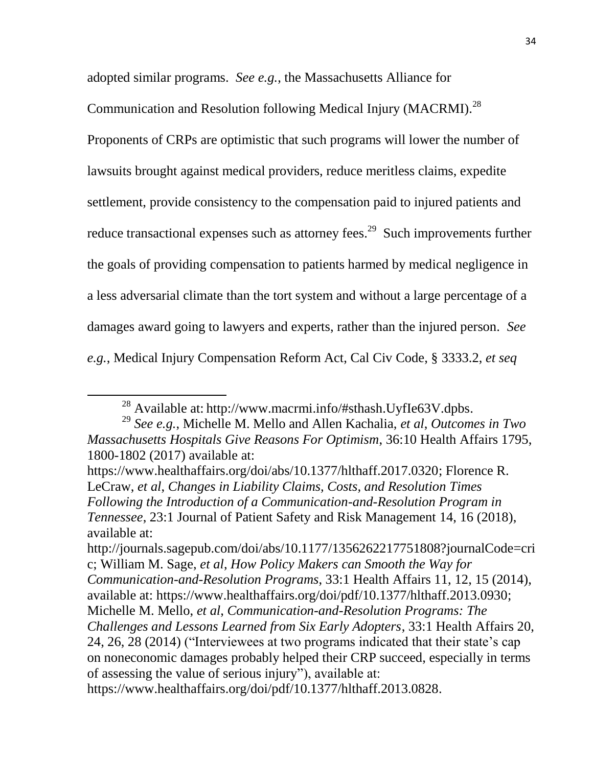adopted similar programs. *See e.g.*, the Massachusetts Alliance for

Communication and Resolution following Medical Injury (MACRMI).<sup>28</sup>

Proponents of CRPs are optimistic that such programs will lower the number of lawsuits brought against medical providers, reduce meritless claims, expedite settlement, provide consistency to the compensation paid to injured patients and reduce transactional expenses such as attorney fees.<sup>29</sup> Such improvements further the goals of providing compensation to patients harmed by medical negligence in a less adversarial climate than the tort system and without a large percentage of a damages award going to lawyers and experts, rather than the injured person. *See e.g.*, Medical Injury Compensation Reform Act, Cal Civ Code, § 3333.2, *et seq*

<sup>28</sup> Available at: http://www.macrmi.info/#sthash.UyfIe63V.dpbs.

<sup>29</sup> *See e.g.*, Michelle M. Mello and Allen Kachalia, *et al*, *Outcomes in Two Massachusetts Hospitals Give Reasons For Optimism*, 36:10 Health Affairs 1795, 1800-1802 (2017) available at:

https://www.healthaffairs.org/doi/abs/10.1377/hlthaff.2017.0320; Florence R. LeCraw, *et al*, *Changes in Liability Claims, Costs, and Resolution Times Following the Introduction of a Communication-and-Resolution Program in Tennessee*, 23:1 Journal of Patient Safety and Risk Management 14, 16 (2018), available at:

http://journals.sagepub.com/doi/abs/10.1177/1356262217751808?journalCode=cri c; William M. Sage, *et al*, *How Policy Makers can Smooth the Way for Communication-and-Resolution Programs*, 33:1 Health Affairs 11, 12, 15 (2014), available at: https://www.healthaffairs.org/doi/pdf/10.1377/hlthaff.2013.0930; Michelle M. Mello, *et al*, *Communication-and-Resolution Programs: The Challenges and Lessons Learned from Six Early Adopters*, 33:1 Health Affairs 20, 24, 26, 28 (2014) ("Interviewees at two programs indicated that their state's cap on noneconomic damages probably helped their CRP succeed, especially in terms of assessing the value of serious injury"), available at:

https://www.healthaffairs.org/doi/pdf/10.1377/hlthaff.2013.0828.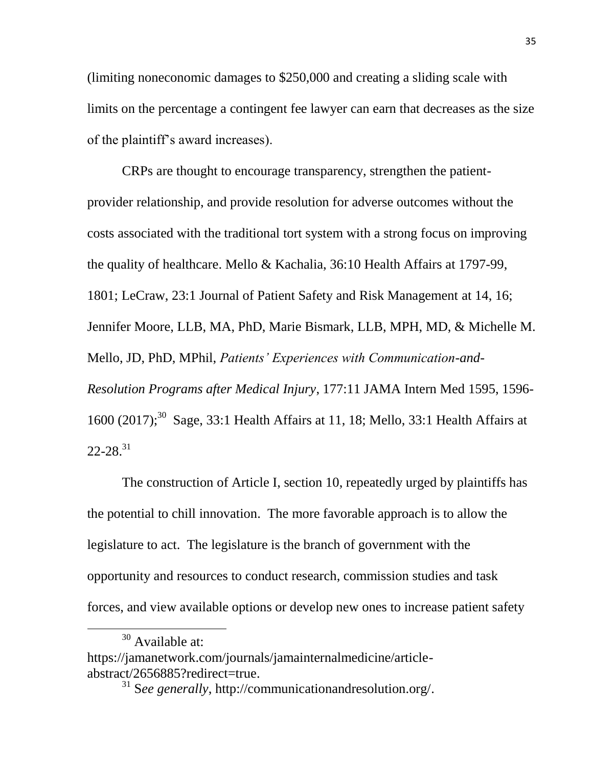(limiting noneconomic damages to \$250,000 and creating a sliding scale with limits on the percentage a contingent fee lawyer can earn that decreases as the size of the plaintiff's award increases).

CRPs are thought to encourage transparency, strengthen the patientprovider relationship, and provide resolution for adverse outcomes without the costs associated with the traditional tort system with a strong focus on improving the quality of healthcare. Mello & Kachalia, 36:10 Health Affairs at 1797-99, 1801; LeCraw, 23:1 Journal of Patient Safety and Risk Management at 14, 16; Jennifer Moore, LLB, MA, PhD, Marie Bismark, LLB, MPH, MD, & Michelle M. Mello, JD, PhD, MPhil, *Patients' Experiences with Communication-and-Resolution Programs after Medical Injury*, 177:11 JAMA Intern Med 1595, 1596- 1600 (2017);<sup>30</sup> Sage, 33:1 Health Affairs at 11, 18; Mello, 33:1 Health Affairs at  $22 - 28.<sup>31</sup>$ 

The construction of Article I, section 10, repeatedly urged by plaintiffs has the potential to chill innovation. The more favorable approach is to allow the legislature to act. The legislature is the branch of government with the opportunity and resources to conduct research, commission studies and task forces, and view available options or develop new ones to increase patient safety

<sup>&</sup>lt;sup>30</sup> Available at:

https://jamanetwork.com/journals/jamainternalmedicine/articleabstract/2656885?redirect=true.

<sup>31</sup> S*ee generally*, http://communicationandresolution.org/.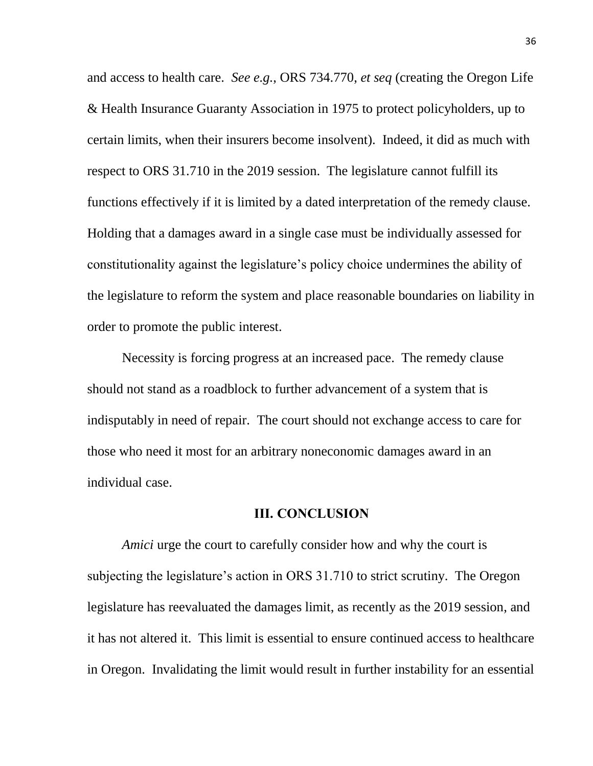and access to health care. *See e.g.*, ORS 734.770, *et seq* (creating the Oregon Life & Health Insurance Guaranty Association in 1975 to protect policyholders, up to certain limits, when their insurers become insolvent). Indeed, it did as much with respect to ORS 31.710 in the 2019 session. The legislature cannot fulfill its functions effectively if it is limited by a dated interpretation of the remedy clause. Holding that a damages award in a single case must be individually assessed for constitutionality against the legislature's policy choice undermines the ability of the legislature to reform the system and place reasonable boundaries on liability in order to promote the public interest.

Necessity is forcing progress at an increased pace. The remedy clause should not stand as a roadblock to further advancement of a system that is indisputably in need of repair. The court should not exchange access to care for those who need it most for an arbitrary noneconomic damages award in an individual case.

#### **III. CONCLUSION**

<span id="page-44-0"></span>*Amici* urge the court to carefully consider how and why the court is subjecting the legislature's action in ORS 31.710 to strict scrutiny. The Oregon legislature has reevaluated the damages limit, as recently as the 2019 session, and it has not altered it. This limit is essential to ensure continued access to healthcare in Oregon. Invalidating the limit would result in further instability for an essential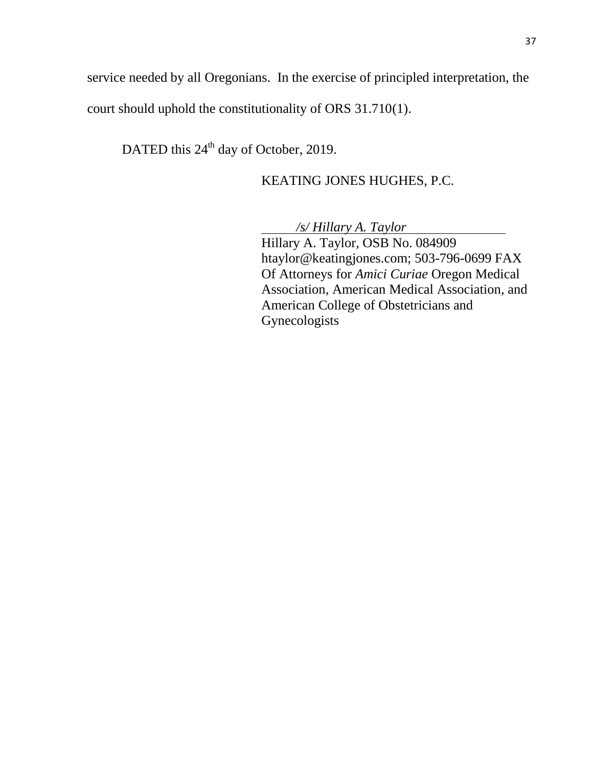service needed by all Oregonians. In the exercise of principled interpretation, the court should uphold the constitutionality of ORS 31.710(1).

DATED this 24<sup>th</sup> day of October, 2019.

## KEATING JONES HUGHES, P.C.

*/s/ Hillary A. Taylor*

Hillary A. Taylor, OSB No. 084909 htaylor@keatingjones.com; 503-796-0699 FAX Of Attorneys for *Amici Curiae* Oregon Medical Association, American Medical Association, and American College of Obstetricians and Gynecologists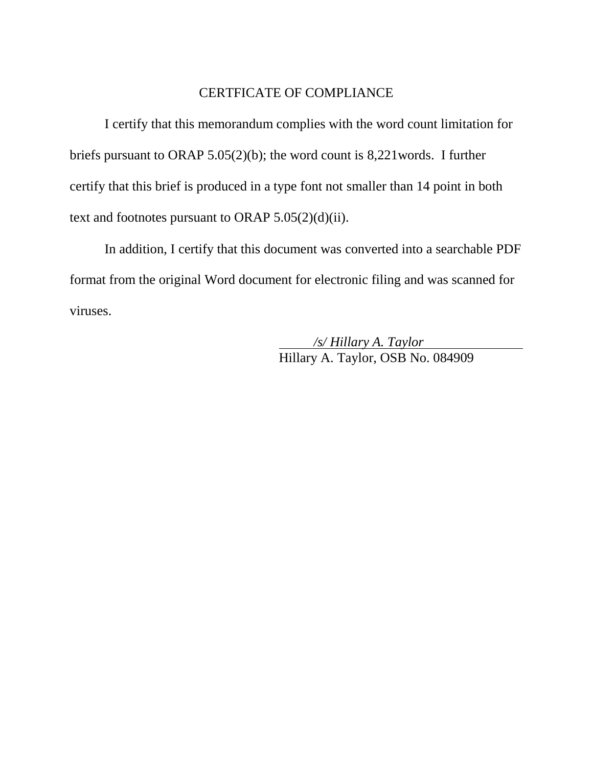## CERTFICATE OF COMPLIANCE

I certify that this memorandum complies with the word count limitation for briefs pursuant to ORAP 5.05(2)(b); the word count is 8,221words. I further certify that this brief is produced in a type font not smaller than 14 point in both text and footnotes pursuant to ORAP  $5.05(2)(d)(ii)$ .

In addition, I certify that this document was converted into a searchable PDF format from the original Word document for electronic filing and was scanned for viruses.

> */s/ Hillary A. Taylor* Hillary A. Taylor, OSB No. 084909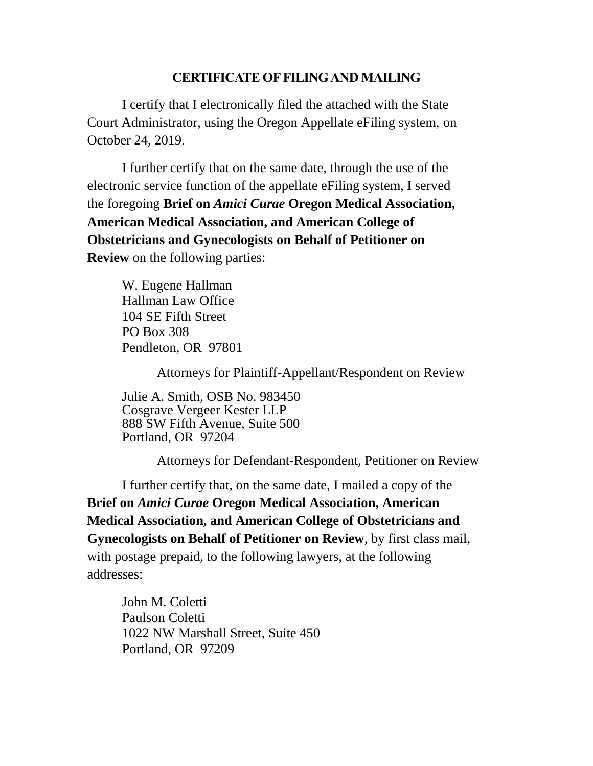#### **CERTIFICATE OF FILING AND MAILING**

I certify that I electronically filed the attached with the State Court Administrator, using the Oregon Appellate eFiling system, on October 24, 2019.

I further certify that on the same date, through the use of the electronic service function of the appellate eFiling system, I served the foregoing **Brief on** *Amici Curae* **Oregon Medical Association, American Medical Association, and American College of Obstetricians and Gynecologists on Behalf of Petitioner on Review** on the following parties:

W. Eugene Hallman Hallman Law Office 104 SE Fifth Street PO Box 308 Pendleton, OR 97801

Attorneys for Plaintiff-Appellant/Respondent on Review

Julie A. Smith, OSB No. 983450 Cosgrave Vergeer Kester LLP 888 SW Fifth Avenue, Suite 500 Portland, OR 97204

Attorneys for Defendant-Respondent, Petitioner on Review

I further certify that, on the same date, I mailed a copy of the **Brief on** *Amici Curae* **Oregon Medical Association, American Medical Association, and American College of Obstetricians and Gynecologists on Behalf of Petitioner on Review**, by first class mail, with postage prepaid, to the following lawyers, at the following addresses:

John M. Coletti Paulson Coletti 1022 NW Marshall Street, Suite 450 Portland, OR 97209